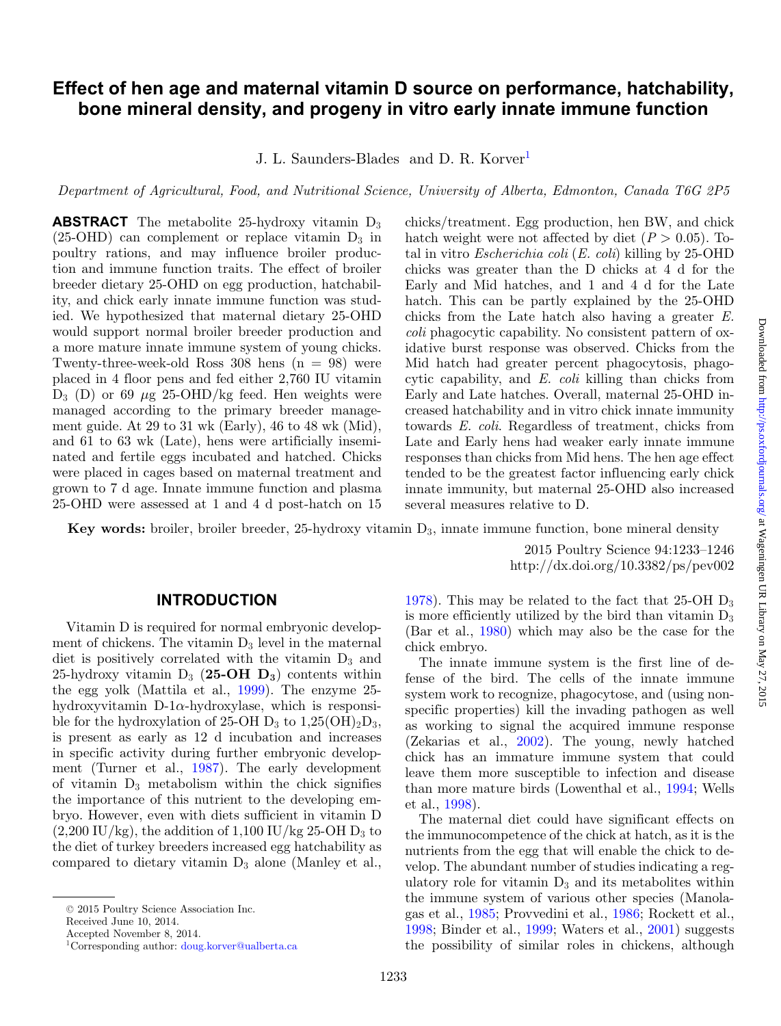# **Effect of hen age and maternal vitamin D source on performance, hatchability, bone mineral density, and progeny in vitro early innate immune function**

J. L. Saunders-Blades and D. R. Korver<sup>1</sup>

*Department of Agricultural, Food, and Nutritional Science, University of Alberta, Edmonton, Canada T6G 2P5*

**ABSTRACT** The metabolite 25-hydroxy vitamin D<sub>3</sub>  $(25-OHD)$  can complement or replace vitamin  $D_3$  in poultry rations, and may influence broiler production and immune function traits. The effect of broiler breeder dietary 25-OHD on egg production, hatchability, and chick early innate immune function was studied. We hypothesized that maternal dietary 25-OHD would support normal broiler breeder production and a more mature innate immune system of young chicks. Twenty-three-week-old Ross  $308$  hens  $(n = 98)$  were placed in 4 floor pens and fed either 2,760 IU vitamin  $D_3$  (D) or 69  $\mu$ g 25-OHD/kg feed. Hen weights were managed according to the primary breeder management guide. At 29 to 31 wk (Early), 46 to 48 wk (Mid), and 61 to 63 wk (Late), hens were artificially inseminated and fertile eggs incubated and hatched. Chicks were placed in cages based on maternal treatment and grown to 7 d age. Innate immune function and plasma 25-OHD were assessed at 1 and 4 d post-hatch on 15 chicks/treatment. Egg production, hen BW, and chick hatch weight were not affected by diet  $(P > 0.05)$ . Total in vitro *Escherichia coli* (*E. coli*) killing by 25-OHD chicks was greater than the D chicks at 4 d for the Early and Mid hatches, and 1 and 4 d for the Late hatch. This can be partly explained by the 25-OHD chicks from the Late hatch also having a greater *E. coli* phagocytic capability. No consistent pattern of oxidative burst response was observed. Chicks from the Mid hatch had greater percent phagocytosis, phagocytic capability, and *E. coli* killing than chicks from Early and Late hatches. Overall, maternal 25-OHD increased hatchability and in vitro chick innate immunity towards *E. coli*. Regardless of treatment, chicks from Late and Early hens had weaker early innate immune responses than chicks from Mid hens. The hen age effect tended to be the greatest factor influencing early chick innate immunity, but maternal 25-OHD also increased several measures relative to D.

**Key words:** broiler, broiler breeder, 25-hydroxy vitamin  $D_3$ , innate immune function, bone mineral density

2015 Poultry Science 94:1233–1246 http://dx.doi.org/10.3382/ps/pev002

## **INTRODUCTION**

Vitamin D is required for normal embryonic development of chickens. The vitamin  $D_3$  level in the maternal diet is positively correlated with the vitamin  $D_3$  and 25-hydroxy vitamin  $D_3$  (25-OH  $D_3$ ) contents within the egg yolk (Mattila et al., [1999\)](#page-12-0). The enzyme 25 hydroxyvitamin D-1 $\alpha$ -hydroxylase, which is responsible for the hydroxylation of 25-OH  $D_3$  to  $1,25(OH)_2D_3$ , is present as early as 12 d incubation and increases in specific activity during further embryonic development (Turner et al., [1987\)](#page-12-1). The early development of vitamin  $D_3$  metabolism within the chick signifies the importance of this nutrient to the developing embryo. However, even with diets sufficient in vitamin D  $(2,200 \text{ IU/kg})$ , the addition of 1,100 IU/kg 25-OH D<sub>3</sub> to the diet of turkey breeders increased egg hatchability as compared to dietary vitamin  $D_3$  alone (Manley et al.,

Received June 10, 2014.

<span id="page-0-0"></span>Accepted November 8, 2014.

[1978\)](#page-12-2). This may be related to the fact that  $25$ -OH  $D_3$ is more efficiently utilized by the bird than vitamin  $D_3$ (Bar et al., [1980\)](#page-11-0) which may also be the case for the chick embryo.

The innate immune system is the first line of defense of the bird. The cells of the innate immune system work to recognize, phagocytose, and (using nonspecific properties) kill the invading pathogen as well as working to signal the acquired immune response (Zekarias et al., [2002\)](#page-13-0). The young, newly hatched chick has an immature immune system that could leave them more susceptible to infection and disease than more mature birds (Lowenthal et al., [1994;](#page-12-3) Wells et al., [1998\)](#page-13-1).

The maternal diet could have significant effects on the immunocompetence of the chick at hatch, as it is the nutrients from the egg that will enable the chick to develop. The abundant number of studies indicating a regulatory role for vitamin  $D_3$  and its metabolites within the immune system of various other species (Manolagas et al., [1985;](#page-12-4) Provvedini et al., [1986;](#page-12-5) Rockett et al., [1998;](#page-12-6) Binder et al., [1999;](#page-11-1) Waters et al., [2001\)](#page-13-2) suggests the possibility of similar roles in chickens, although

<sup>© 2015</sup> Poultry Science Association Inc.

<sup>1</sup>Corresponding author: [doug.korver@ualberta.ca](mailto:doug.korver@ualberta.ca)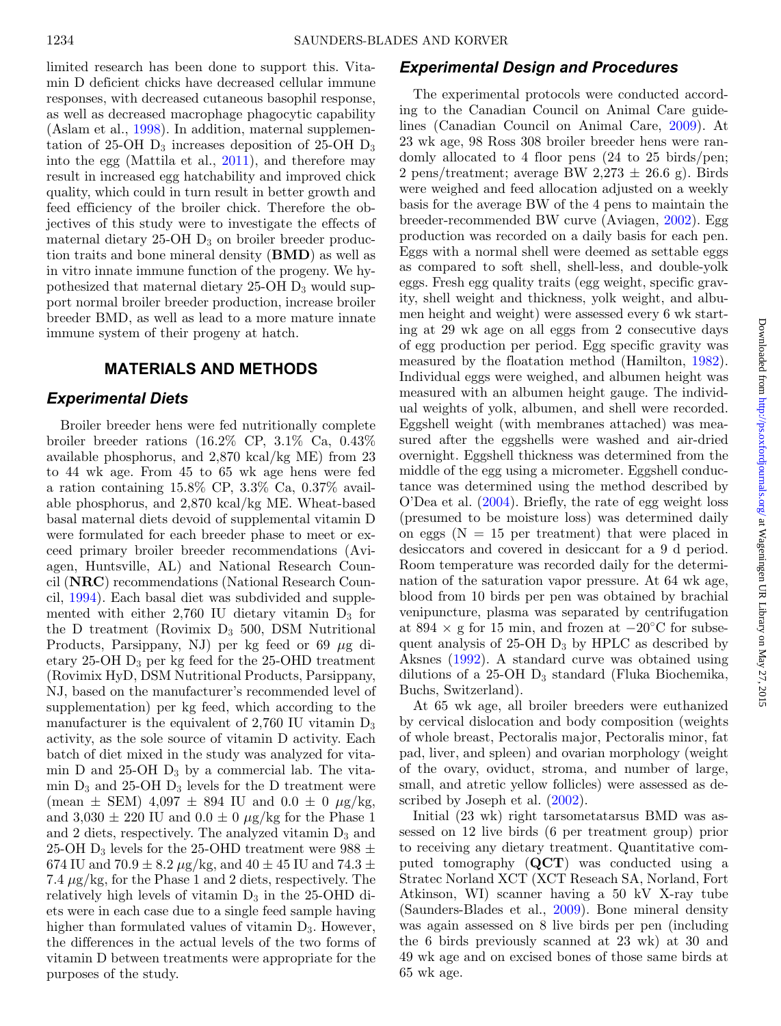limited research has been done to support this. Vitamin D deficient chicks have decreased cellular immune responses, with decreased cutaneous basophil response, as well as decreased macrophage phagocytic capability (Aslam et al., [1998\)](#page-11-2). In addition, maternal supplementation of 25-OH  $D_3$  increases deposition of 25-OH  $D_3$ into the egg (Mattila et al., [2011\)](#page-12-7), and therefore may result in increased egg hatchability and improved chick quality, which could in turn result in better growth and feed efficiency of the broiler chick. Therefore the objectives of this study were to investigate the effects of maternal dietary  $25$ -OH  $D_3$  on broiler breeder production traits and bone mineral density (**BMD**) as well as in vitro innate immune function of the progeny. We hypothesized that maternal dietary  $25$ -OH  $D_3$  would support normal broiler breeder production, increase broiler breeder BMD, as well as lead to a more mature innate immune system of their progeny at hatch.

## **MATERIALS AND METHODS**

### *Experimental Diets*

Broiler breeder hens were fed nutritionally complete broiler breeder rations (16.2% CP, 3.1% Ca, 0.43% available phosphorus, and 2,870 kcal/kg ME) from 23 to 44 wk age. From 45 to 65 wk age hens were fed a ration containing 15.8% CP, 3.3% Ca, 0.37% available phosphorus, and 2,870 kcal/kg ME. Wheat-based basal maternal diets devoid of supplemental vitamin D were formulated for each breeder phase to meet or exceed primary broiler breeder recommendations (Aviagen, Huntsville, AL) and National Research Council (**NRC**) recommendations (National Research Council, [1994\)](#page-12-8). Each basal diet was subdivided and supplemented with either 2,760 IU dietary vitamin  $D_3$  for the D treatment (Rovimix  $D_3$  500, DSM Nutritional Products, Parsippany, NJ) per kg feed or 69  $\mu$ g dietary 25-OH  $D_3$  per kg feed for the 25-OHD treatment (Rovimix HyD, DSM Nutritional Products, Parsippany, NJ, based on the manufacturer's recommended level of supplementation) per kg feed, which according to the manufacturer is the equivalent of 2,760 IU vitamin  $D_3$ activity, as the sole source of vitamin D activity. Each batch of diet mixed in the study was analyzed for vitamin D and  $25$ -OH  $D_3$  by a commercial lab. The vitamin  $D_3$  and 25-OH  $D_3$  levels for the D treatment were (mean  $\pm$  SEM) 4,097  $\pm$  894 IU and 0.0  $\pm$  0  $\mu$ g/kg, and  $3,030 \pm 220$  IU and  $0.0 \pm 0$   $\mu$ g/kg for the Phase 1 and 2 diets, respectively. The analyzed vitamin  $D_3$  and 25-OH  $D_3$  levels for the 25-OHD treatment were 988  $\pm$ 674 IU and 70.9  $\pm$  8.2  $\mu$ g/kg, and 40  $\pm$  45 IU and 74.3  $\pm$ 7.4  $\mu$ g/kg, for the Phase 1 and 2 diets, respectively. The relatively high levels of vitamin  $D_3$  in the 25-OHD diets were in each case due to a single feed sample having higher than formulated values of vitamin  $D_3$ . However, the differences in the actual levels of the two forms of vitamin D between treatments were appropriate for the purposes of the study.

#### *Experimental Design and Procedures*

The experimental protocols were conducted according to the Canadian Council on Animal Care guidelines (Canadian Council on Animal Care, [2009\)](#page-11-3). At 23 wk age, 98 Ross 308 broiler breeder hens were randomly allocated to 4 floor pens (24 to 25 birds/pen; 2 pens/treatment; average BW 2,273  $\pm$  26.6 g). Birds were weighed and feed allocation adjusted on a weekly basis for the average BW of the 4 pens to maintain the breeder-recommended BW curve (Aviagen, [2002\)](#page-11-4). Egg production was recorded on a daily basis for each pen. Eggs with a normal shell were deemed as settable eggs as compared to soft shell, shell-less, and double-yolk eggs. Fresh egg quality traits (egg weight, specific gravity, shell weight and thickness, yolk weight, and albumen height and weight) were assessed every 6 wk starting at 29 wk age on all eggs from 2 consecutive days of egg production per period. Egg specific gravity was measured by the floatation method (Hamilton, [1982\)](#page-12-9). Individual eggs were weighed, and albumen height was measured with an albumen height gauge. The individual weights of yolk, albumen, and shell were recorded. Eggshell weight (with membranes attached) was measured after the eggshells were washed and air-dried overnight. Eggshell thickness was determined from the middle of the egg using a micrometer. Eggshell conductance was determined using the method described by O'Dea et al. [\(2004\)](#page-12-10). Briefly, the rate of egg weight loss (presumed to be moisture loss) was determined daily on eggs  $(N = 15$  per treatment) that were placed in desiccators and covered in desiccant for a 9 d period. Room temperature was recorded daily for the determination of the saturation vapor pressure. At 64 wk age, blood from 10 birds per pen was obtained by brachial venipuncture, plasma was separated by centrifugation at 894  $\times$  g for 15 min, and frozen at  $-20^{\circ}$ C for subsequent analysis of 25-OH D3 by HPLC as described by Aksnes [\(1992\)](#page-11-5). A standard curve was obtained using dilutions of a 25-OH D3 standard (Fluka Biochemika, Buchs, Switzerland).

At 65 wk age, all broiler breeders were euthanized by cervical dislocation and body composition (weights of whole breast, Pectoralis major, Pectoralis minor, fat pad, liver, and spleen) and ovarian morphology (weight of the ovary, oviduct, stroma, and number of large, small, and atretic yellow follicles) were assessed as described by Joseph et al. [\(2002\)](#page-12-11).

Initial (23 wk) right tarsometatarsus BMD was assessed on 12 live birds (6 per treatment group) prior to receiving any dietary treatment. Quantitative computed tomography (**QCT**) was conducted using a Stratec Norland XCT (XCT Reseach SA, Norland, Fort Atkinson, WI) scanner having a 50 kV X-ray tube (Saunders-Blades et al., [2009\)](#page-12-12). Bone mineral density was again assessed on 8 live birds per pen (including the 6 birds previously scanned at 23 wk) at 30 and 49 wk age and on excised bones of those same birds at 65 wk age.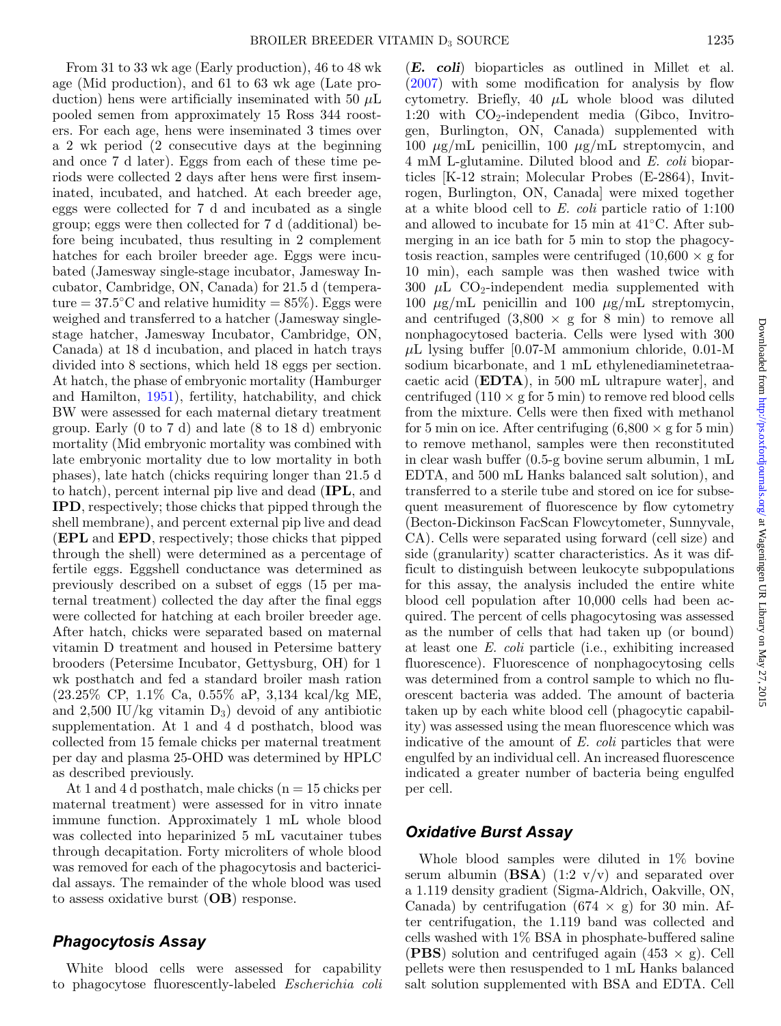From 31 to 33 wk age (Early production), 46 to 48 wk age (Mid production), and 61 to 63 wk age (Late production) hens were artificially inseminated with 50  $\mu$ L pooled semen from approximately 15 Ross 344 roosters. For each age, hens were inseminated 3 times over a 2 wk period (2 consecutive days at the beginning and once 7 d later). Eggs from each of these time periods were collected 2 days after hens were first inseminated, incubated, and hatched. At each breeder age, eggs were collected for 7 d and incubated as a single group; eggs were then collected for 7 d (additional) before being incubated, thus resulting in 2 complement hatches for each broiler breeder age. Eggs were incubated (Jamesway single-stage incubator, Jamesway Incubator, Cambridge, ON, Canada) for 21.5 d (temperature  $= 37.5^{\circ}$ C and relative humidity  $= 85\%$ ). Eggs were weighed and transferred to a hatcher (Jamesway singlestage hatcher, Jamesway Incubator, Cambridge, ON, Canada) at 18 d incubation, and placed in hatch trays divided into 8 sections, which held 18 eggs per section. At hatch, the phase of embryonic mortality (Hamburger and Hamilton, [1951\)](#page-12-13), fertility, hatchability, and chick BW were assessed for each maternal dietary treatment group. Early (0 to 7 d) and late (8 to 18 d) embryonic mortality (Mid embryonic mortality was combined with late embryonic mortality due to low mortality in both phases), late hatch (chicks requiring longer than 21.5 d to hatch), percent internal pip live and dead (**IPL**, and **IPD**, respectively; those chicks that pipped through the shell membrane), and percent external pip live and dead (**EPL** and **EPD**, respectively; those chicks that pipped through the shell) were determined as a percentage of fertile eggs. Eggshell conductance was determined as previously described on a subset of eggs (15 per maternal treatment) collected the day after the final eggs were collected for hatching at each broiler breeder age. After hatch, chicks were separated based on maternal vitamin D treatment and housed in Petersime battery brooders (Petersime Incubator, Gettysburg, OH) for 1 wk posthatch and fed a standard broiler mash ration (23.25% CP, 1.1% Ca, 0.55% aP, 3,134 kcal/kg ME, and 2,500 IU/kg vitamin  $D_3$ ) devoid of any antibiotic supplementation. At 1 and 4 d posthatch, blood was collected from 15 female chicks per maternal treatment per day and plasma 25-OHD was determined by HPLC as described previously.

At 1 and 4 d posthatch, male chicks  $(n = 15$  chicks per maternal treatment) were assessed for in vitro innate immune function. Approximately 1 mL whole blood was collected into heparinized 5 mL vacutainer tubes through decapitation. Forty microliters of whole blood was removed for each of the phagocytosis and bactericidal assays. The remainder of the whole blood was used to assess oxidative burst (**OB**) response.

## *Phagocytosis Assay*

White blood cells were assessed for capability to phagocytose fluorescently-labeled *Escherichia coli*

(*E. coli*) bioparticles as outlined in Millet et al. [\(2007\)](#page-12-14) with some modification for analysis by flow cytometry. Briefly,  $40 \mu L$  whole blood was diluted 1:20 with  $CO_2$ -independent media (Gibco, Invitrogen, Burlington, ON, Canada) supplemented with 100  $\mu$ g/mL penicillin, 100  $\mu$ g/mL streptomycin, and 4 mM L-glutamine. Diluted blood and *E. coli* bioparticles [K-12 strain; Molecular Probes (E-2864), Invitrogen, Burlington, ON, Canada] were mixed together at a white blood cell to *E. coli* particle ratio of 1:100 and allowed to incubate for 15 min at 41◦C. After submerging in an ice bath for 5 min to stop the phagocytosis reaction, samples were centrifuged  $(10,600 \times g)$  for 10 min), each sample was then washed twice with 300  $\mu$ L CO<sub>2</sub>-independent media supplemented with 100  $\mu$ g/mL penicillin and 100  $\mu$ g/mL streptomycin, and centrifuged  $(3,800 \times g \text{ for } 8 \text{ min})$  to remove all nonphagocytosed bacteria. Cells were lysed with 300  $\mu$ L lysing buffer [0.07-M ammonium chloride, 0.01-M sodium bicarbonate, and 1 mL ethylenediaminetetraacaetic acid (**EDTA**), in 500 mL ultrapure water], and centrifuged  $(110 \times g \text{ for } 5 \text{ min})$  to remove red blood cells from the mixture. Cells were then fixed with methanol for 5 min on ice. After centrifuging  $(6.800 \times g$  for 5 min) to remove methanol, samples were then reconstituted in clear wash buffer (0.5-g bovine serum albumin, 1 mL EDTA, and 500 mL Hanks balanced salt solution), and transferred to a sterile tube and stored on ice for subsequent measurement of fluorescence by flow cytometry (Becton-Dickinson FacScan Flowcytometer, Sunnyvale, CA). Cells were separated using forward (cell size) and side (granularity) scatter characteristics. As it was difficult to distinguish between leukocyte subpopulations for this assay, the analysis included the entire white blood cell population after 10,000 cells had been acquired. The percent of cells phagocytosing was assessed as the number of cells that had taken up (or bound) at least one *E. coli* particle (i.e., exhibiting increased fluorescence). Fluorescence of nonphagocytosing cells was determined from a control sample to which no fluorescent bacteria was added. The amount of bacteria taken up by each white blood cell (phagocytic capability) was assessed using the mean fluorescence which was indicative of the amount of *E. coli* particles that were engulfed by an individual cell. An increased fluorescence indicated a greater number of bacteria being engulfed per cell.

## *Oxidative Burst Assay*

Whole blood samples were diluted in 1% bovine serum albumin  $(BSA)$  (1:2 v/v) and separated over a 1.119 density gradient (Sigma-Aldrich, Oakville, ON, Canada) by centrifugation  $(674 \times g)$  for 30 min. After centrifugation, the 1.119 band was collected and cells washed with 1% BSA in phosphate-buffered saline **(PBS)** solution and centrifuged again  $(453 \times g)$ . Cell pellets were then resuspended to 1 mL Hanks balanced salt solution supplemented with BSA and EDTA. Cell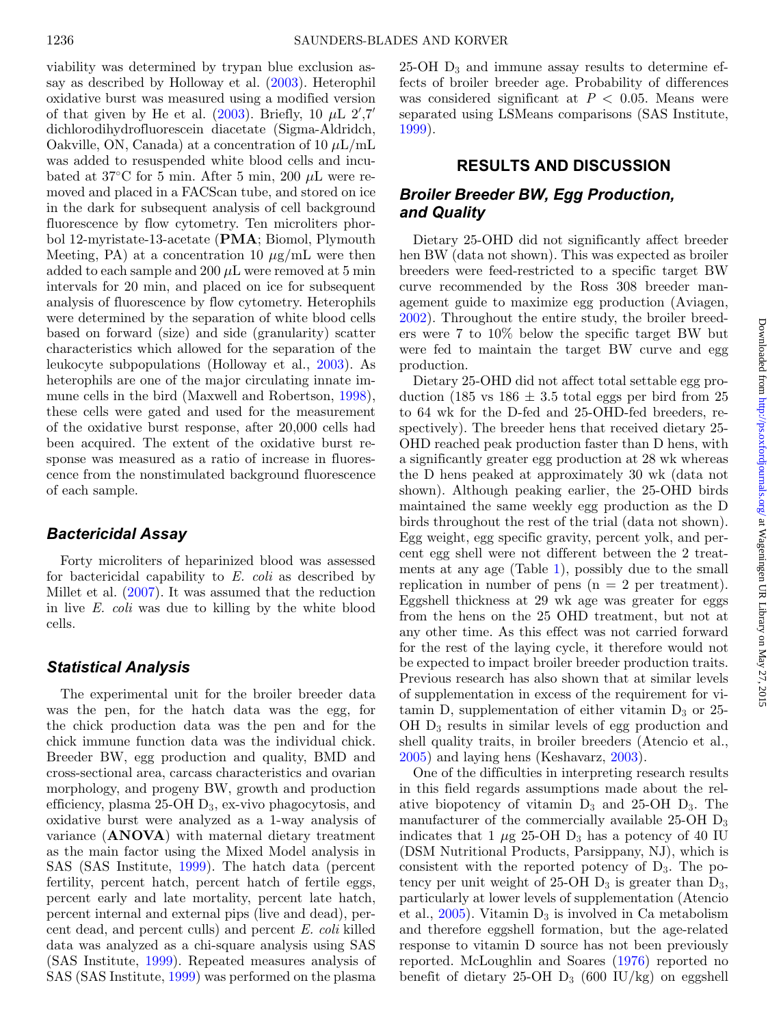viability was determined by trypan blue exclusion assay as described by Holloway et al. [\(2003\)](#page-12-15). Heterophil oxidative burst was measured using a modified version of that given by He et al.  $(2003)$ . Briefly, 10  $\mu$ L 2',7' dichlorodihydrofluorescein diacetate (Sigma-Aldridch, Oakville, ON, Canada) at a concentration of 10  $\mu$ L/mL was added to resuspended white blood cells and incubated at 37 $\rm{^{\circ}C}$  for 5 min. After 5 min, 200  $\rm{\mu}L$  were removed and placed in a FACScan tube, and stored on ice in the dark for subsequent analysis of cell background fluorescence by flow cytometry. Ten microliters phorbol 12-myristate-13-acetate (**PMA**; Biomol, Plymouth Meeting, PA) at a concentration 10  $\mu$ g/mL were then added to each sample and  $200 \mu L$  were removed at 5 min intervals for 20 min, and placed on ice for subsequent analysis of fluorescence by flow cytometry. Heterophils were determined by the separation of white blood cells based on forward (size) and side (granularity) scatter characteristics which allowed for the separation of the leukocyte subpopulations (Holloway et al., [2003\)](#page-12-15). As heterophils are one of the major circulating innate immune cells in the bird (Maxwell and Robertson, [1998\)](#page-12-17), these cells were gated and used for the measurement of the oxidative burst response, after 20,000 cells had been acquired. The extent of the oxidative burst response was measured as a ratio of increase in fluorescence from the nonstimulated background fluorescence of each sample.

## *Bactericidal Assay*

Forty microliters of heparinized blood was assessed for bactericidal capability to *E. coli* as described by Millet et al. [\(2007\)](#page-12-14). It was assumed that the reduction in live *E. coli* was due to killing by the white blood cells.

## *Statistical Analysis*

The experimental unit for the broiler breeder data was the pen, for the hatch data was the egg, for the chick production data was the pen and for the chick immune function data was the individual chick. Breeder BW, egg production and quality, BMD and cross-sectional area, carcass characteristics and ovarian morphology, and progeny BW, growth and production efficiency, plasma 25-OH D3, ex-vivo phagocytosis, and oxidative burst were analyzed as a 1-way analysis of variance (**ANOVA**) with maternal dietary treatment as the main factor using the Mixed Model analysis in SAS (SAS Institute, [1999\)](#page-12-18). The hatch data (percent fertility, percent hatch, percent hatch of fertile eggs, percent early and late mortality, percent late hatch, percent internal and external pips (live and dead), percent dead, and percent culls) and percent *E. coli* killed data was analyzed as a chi-square analysis using SAS (SAS Institute, [1999\)](#page-12-18). Repeated measures analysis of SAS (SAS Institute, [1999\)](#page-12-18) was performed on the plasma

 $25$ -OH  $D_3$  and immune assay results to determine effects of broiler breeder age. Probability of differences was considered significant at  $P < 0.05$ . Means were separated using LSMeans comparisons (SAS Institute, [1999\)](#page-12-18).

## **RESULTS AND DISCUSSION**

## *Broiler Breeder BW, Egg Production, and Quality*

Dietary 25-OHD did not significantly affect breeder hen BW (data not shown). This was expected as broiler breeders were feed-restricted to a specific target BW curve recommended by the Ross 308 breeder management guide to maximize egg production (Aviagen, [2002\)](#page-11-4). Throughout the entire study, the broiler breeders were 7 to 10% below the specific target BW but were fed to maintain the target BW curve and egg production.

Dietary 25-OHD did not affect total settable egg production (185 vs  $186 \pm 3.5$  total eggs per bird from 25 to 64 wk for the D-fed and 25-OHD-fed breeders, respectively). The breeder hens that received dietary 25- OHD reached peak production faster than D hens, with a significantly greater egg production at 28 wk whereas the D hens peaked at approximately 30 wk (data not shown). Although peaking earlier, the 25-OHD birds maintained the same weekly egg production as the D birds throughout the rest of the trial (data not shown). Egg weight, egg specific gravity, percent yolk, and percent egg shell were not different between the 2 treatments at any age (Table [1\)](#page-4-0), possibly due to the small replication in number of pens  $(n = 2 \text{ per treatment}).$ Eggshell thickness at 29 wk age was greater for eggs from the hens on the 25 OHD treatment, but not at any other time. As this effect was not carried forward for the rest of the laying cycle, it therefore would not be expected to impact broiler breeder production traits. Previous research has also shown that at similar levels of supplementation in excess of the requirement for vitamin D, supplementation of either vitamin  $D_3$  or 25- $OH$   $D_3$  results in similar levels of egg production and shell quality traits, in broiler breeders (Atencio et al., [2005\)](#page-11-6) and laying hens (Keshavarz, [2003\)](#page-12-19).

One of the difficulties in interpreting research results in this field regards assumptions made about the relative biopotency of vitamin  $D_3$  and 25-OH  $D_3$ . The manufacturer of the commercially available 25-OH  $D_3$ indicates that 1  $\mu$ g 25-OH D<sub>3</sub> has a potency of 40 IU (DSM Nutritional Products, Parsippany, NJ), which is consistent with the reported potency of  $D_3$ . The potency per unit weight of 25-OH  $D_3$  is greater than  $D_3$ , particularly at lower levels of supplementation (Atencio et al.,  $2005$ ). Vitamin  $D_3$  is involved in Ca metabolism and therefore eggshell formation, but the age-related response to vitamin D source has not been previously reported. McLoughlin and Soares [\(1976\)](#page-12-20) reported no benefit of dietary 25-OH  $D_3$  (600 IU/kg) on eggshell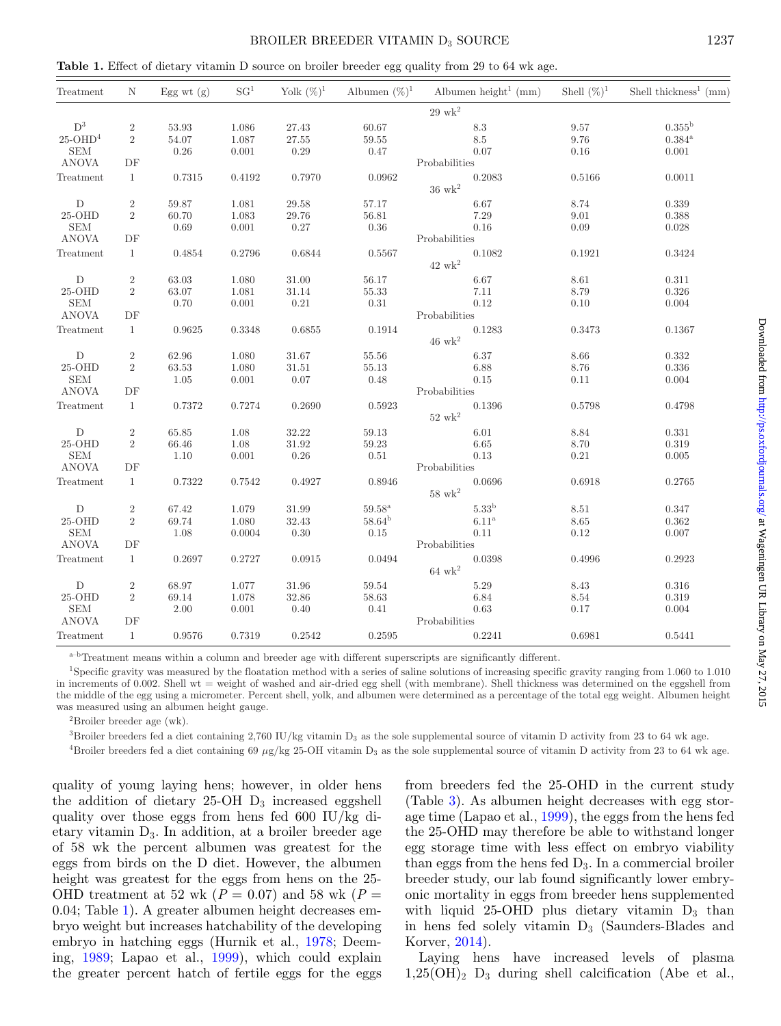#### BROILER BREEDER VITAMIN  $D_3$  SOURCE 1237

<span id="page-4-0"></span>**Table 1.** Effect of dietary vitamin D source on broiler breeder egg quality from 29 to 64 wk age.

| Treatment                       | $_{\rm N}$                 | Egg wt $(g)$ | $\mathbf{S}\mathbf{G}^1$ | Yolk $(\%)^1$ | Albumen $(\%)^1$ | Albumen height <sup>1</sup> (mm) Shell $(\%)^1$ |          | Shell thickness <sup>1</sup> (mm) |
|---------------------------------|----------------------------|--------------|--------------------------|---------------|------------------|-------------------------------------------------|----------|-----------------------------------|
|                                 |                            |              |                          |               |                  | $29\,$ $\mathrm{wk}^2$                          |          |                                   |
| $D^3$                           | $\,2$                      | $53.93\,$    | $1.086\,$                | $27.43\,$     | $60.67\,$        | $8.3\,$                                         | 9.57     | $0.355^{\rm b}$                   |
| $25$ -OHD <sup>4</sup>          | $\,2$                      | $54.07\,$    | 1.087                    | $27.55\,$     | $59.55\,$        | 8.5                                             | $9.76\,$ | $0.384^{\rm a}$                   |
| ${\hbox{\footnotesize\rm SEM}}$ |                            | 0.26         | 0.001                    | 0.29          | 0.47             | 0.07                                            | 0.16     | 0.001                             |
| <b>ANOVA</b>                    | DF                         |              |                          |               |                  | Probabilities                                   |          |                                   |
| Treatment                       | $\mathbf{1}$               | 0.7315       | 0.4192                   | 0.7970        | 0.0962           | 0.2083<br>$36~\mathrm{wk}^2$                    | 0.5166   | 0.0011                            |
| $\mathbf D$                     | $\,2$                      | $59.87\,$    | 1.081                    | $29.58\,$     | $57.17\,$        | 6.67                                            | 8.74     | 0.339                             |
| $25-OHD$                        | $\,2$                      | 60.70        | $1.083\,$                | $29.76\,$     | $56.81\,$        | $7.29\,$                                        | $9.01\,$ | $0.388\,$                         |
| ${\hbox{\rm SEM}}$              |                            | 0.69         | 0.001                    | 0.27          | $0.36\,$         | 0.16                                            | 0.09     | 0.028                             |
| <b>ANOVA</b>                    | DF                         |              |                          |               |                  | Probabilities                                   |          |                                   |
| Treatment                       | $\mathbf{1}$               | 0.4854       | 0.2796                   | 0.6844        | 0.5567           | 0.1082                                          | 0.1921   | 0.3424                            |
|                                 |                            |              |                          |               |                  | $42\ \rm{wk^2}$                                 |          |                                   |
| D                               | $\,2$                      | 63.03        | 1.080                    | 31.00         | 56.17            | 6.67                                            | 8.61     | 0.311                             |
| $25-OHD$                        | $\,2$                      | 63.07        | 1.081                    | $31.14\,$     | $55.33\,$        | $7.11\,$                                        | $8.79\,$ | $0.326\,$                         |
| ${\hbox{\footnotesize\rm SEM}}$ |                            | 0.70         | 0.001                    | 0.21          | $0.31\,$         | 0.12                                            | 0.10     | 0.004                             |
| <b>ANOVA</b>                    | DF                         |              |                          |               |                  | Probabilities                                   |          |                                   |
| Treatment                       | $\mathbf{1}$               | 0.9625       | 0.3348                   | 0.6855        | 0.1914           | $0.1283\,$                                      | 0.3473   | 0.1367                            |
|                                 |                            |              |                          |               |                  | $46~\mathrm{wk}^2$                              |          |                                   |
| D                               | $\sqrt{2}$                 | 62.96        | 1.080                    | 31.67         | 55.56            | 6.37                                            | 8.66     | 0.332                             |
| 25-OHD                          | $\,2$                      | 63.53        | 1.080                    | 31.51         | $55.13\,$        | $6.88\,$                                        | 8.76     | 0.336                             |
| ${\hbox{\rm SEM}}$              |                            | 1.05         | 0.001                    | 0.07          | 0.48             | $0.15\,$                                        | 0.11     | 0.004                             |
| <b>ANOVA</b>                    | $\rm DF$                   |              |                          |               |                  | Probabilities                                   |          |                                   |
| Treatment                       | $\mathbf{1}$               | 0.7372       | 0.7274                   | 0.2690        | 0.5923           | 0.1396                                          | 0.5798   | 0.4798                            |
|                                 |                            |              |                          |               |                  | $52~\mathrm{wk}^2$                              |          |                                   |
| $\mathbf D$                     | $\sqrt{2}$                 | 65.85        | 1.08                     | 32.22         | 59.13            | 6.01                                            | 8.84     | 0.331                             |
| 25-OHD                          | $\,2$                      | 66.46        | $1.08\,$                 | $31.92\,$     | 59.23            | $6.65\,$                                        | 8.70     | 0.319                             |
| <b>SEM</b>                      |                            | 1.10         | 0.001                    | 0.26          | 0.51             | 0.13                                            | 0.21     | 0.005                             |
| <b>ANOVA</b>                    | $\ensuremath{\mathrm{DF}}$ |              |                          |               |                  | Probabilities                                   |          |                                   |
| Treatment                       | $\mathbf{1}$               | 0.7322       | 0.7542                   | 0.4927        | 0.8946           | 0.0696                                          | 0.6918   | 0.2765                            |
|                                 |                            |              |                          |               |                  | $58~\mathrm{wk}^2$                              |          |                                   |
| ${\rm D}$                       | $\,2$                      | 67.42        | $1.079\,$                | $31.99\,$     | $59.58^{\rm a}$  | $5.33^{\rm b}$                                  | $8.51\,$ | 0.347                             |
| 25-OHD                          | $\,2$                      | 69.74        | 1.080                    | 32.43         | $58.64^{\rm b}$  | 6.11 <sup>a</sup>                               | 8.65     | 0.362                             |
| <b>SEM</b>                      |                            | 1.08         | 0.0004                   | 0.30          | $0.15\,$         | 0.11                                            | 0.12     | 0.007                             |
| <b>ANOVA</b>                    | DF                         |              |                          |               |                  | Probabilities                                   |          |                                   |
| Treatment                       | $\mathbf{1}$               | 0.2697       | 0.2727                   | 0.0915        | 0.0494           | 0.0398                                          | 0.4996   | 0.2923                            |
|                                 |                            |              |                          |               |                  | $64~\mathrm{wk}^2$                              |          |                                   |
| $\mathbf D$                     | $\,2$                      | 68.97        | 1.077                    | $31.96\,$     | 59.54            | 5.29                                            | 8.43     | 0.316                             |
| $25-OHD$                        | $\,2$                      | 69.14        | 1.078                    | $32.86\,$     | $58.63\,$        | 6.84                                            | 8.54     | 0.319                             |
| <b>SEM</b>                      |                            | 2.00         | 0.001                    | 0.40          | 0.41             | 0.63                                            | 0.17     | 0.004                             |
| <b>ANOVA</b>                    | DF                         |              |                          |               |                  | Probabilities                                   |          |                                   |
| Treatment                       | $1\,$                      | 0.9576       | 0.7319                   | 0.2542        | 0.2595           | 0.2241                                          | 0.6981   | 0.5441                            |

a–bTreatment means within a column and breeder age with different superscripts are significantly different.

1Specific gravity was measured by the floatation method with a series of saline solutions of increasing specific gravity ranging from 1.060 to 1.010 in increments of 0.002. Shell wt = weight of washed and air-dried egg shell (with membrane). Shell thickness was determined on the eggshell from the middle of the egg using a micrometer. Percent shell, yolk, and albumen were determined as a percentage of the total egg weight. Albumen height was measured using an albumen height gauge.

2Broiler breeder age (wk).

<sup>3</sup>Broiler breeders fed a diet containing 2,760 IU/kg vitamin  $D_3$  as the sole supplemental source of vitamin D activity from 23 to 64 wk age.

<sup>4</sup>Broiler breeders fed a diet containing 69  $\mu$ g/kg 25-OH vitamin D<sub>3</sub> as the sole supplemental source of vitamin D activity from 23 to 64 wk age.

quality of young laying hens; however, in older hens the addition of dietary  $25-OH$   $D_3$  increased eggshell quality over those eggs from hens fed 600 IU/kg dietary vitamin  $D_3$ . In addition, at a broiler breeder age of 58 wk the percent albumen was greatest for the eggs from birds on the D diet. However, the albumen height was greatest for the eggs from hens on the 25- OHD treatment at 52 wk  $(P = 0.07)$  and 58 wk  $(P =$ 0.04; Table [1\)](#page-4-0)[.](#page-5-0) A greater albumen height decreases embryo weight but increases hatchability of the developing embryo in hatching eggs (Hurnik et al., [1978;](#page-12-21) Deeming, [1989;](#page-12-22) Lapao et al., [1999\)](#page-12-23), which could explain the greater percent hatch of fertile eggs for the eggs from breeders fed the 25-OHD in the current study (Table [3\)](#page-6-0). As albumen height decreases with egg storage time (Lapao et al., [1999\)](#page-12-23), the eggs from the hens fed the 25-OHD may therefore be able to withstand longer egg storage time with less effect on embryo viability than eggs from the hens fed  $D_3$ . In a commercial broiler breeder study, our lab found significantly lower embryonic mortality in eggs from breeder hens supplemented with liquid 25-OHD plus dietary vitamin  $D_3$  than in hens fed solely vitamin  $D_3$  (Saunders-Blades and Korver, [2014\)](#page-12-24).

Laying hens have increased levels of plasma  $1,25(OH)_2$  D<sub>3</sub> during shell calcification (Abe et al.,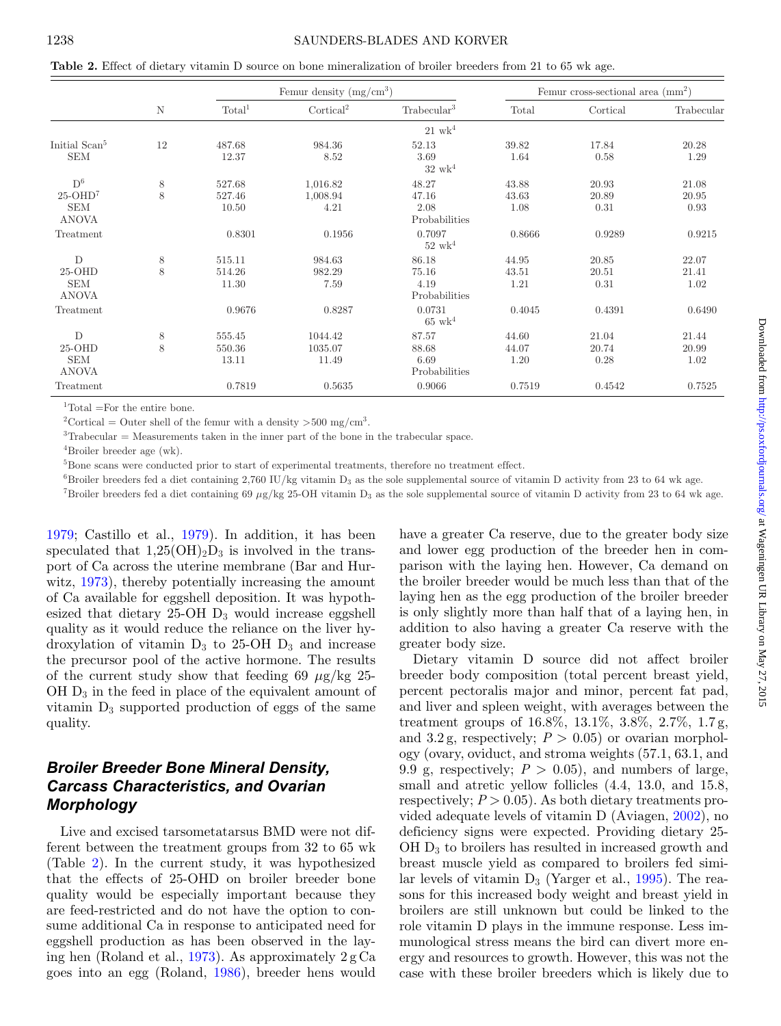#### 1238 SAUNDERS-BLADES AND KORVER

<span id="page-5-0"></span>**Table 2.** Effect of dietary vitamin D source on bone mineralization of broiler breeders from 21 to 65 wk age.

|                           |         | Femur density $(mg/cm^3)$ |                       |                             | Femur cross-sectional area $\text{(mm)}^2$ ) |          |            |  |  |
|---------------------------|---------|---------------------------|-----------------------|-----------------------------|----------------------------------------------|----------|------------|--|--|
|                           | N       | Total <sup>1</sup>        | $\mathrm{Cortical}^2$ | $T_{\rm Table 1}$           | Total                                        | Cortical | Trabecular |  |  |
|                           |         |                           |                       | $21 \text{ wk}^4$           |                                              |          |            |  |  |
| Initial Scan <sup>5</sup> | 12      | 487.68                    | 984.36                | 52.13                       | 39.82                                        | 17.84    | 20.28      |  |  |
| <b>SEM</b>                |         | 12.37                     | 8.52                  | 3.69<br>$32 \text{ wk}^4$   | 1.64                                         | 0.58     | 1.29       |  |  |
| $\mathbf{D}^6$            | $\,8\,$ | 527.68                    | 1,016.82              | 48.27                       | 43.88                                        | 20.93    | 21.08      |  |  |
| $25$ -OHD <sup>7</sup>    | 8       | 527.46                    | 1,008.94              | 47.16                       | 43.63                                        | 20.89    | 20.95      |  |  |
| <b>SEM</b>                |         | 10.50                     | 4.21                  | 2.08                        | 1.08                                         | 0.31     | 0.93       |  |  |
| <b>ANOVA</b>              |         |                           |                       | Probabilities               |                                              |          |            |  |  |
| Treatment                 |         | 0.8301                    | 0.1956                | 0.7097<br>$52 \text{ wk}^4$ | 0.8666                                       | 0.9289   | 0.9215     |  |  |
| $\mathcal{D}$             | $\,8\,$ | 515.11                    | 984.63                | 86.18                       | 44.95                                        | 20.85    | 22.07      |  |  |
| 25-OHD                    | 8       | 514.26                    | 982.29                | 75.16                       | 43.51                                        | 20.51    | 21.41      |  |  |
| <b>SEM</b>                |         | 11.30                     | 7.59                  | 4.19                        | 1.21                                         | 0.31     | 1.02       |  |  |
| <b>ANOVA</b>              |         |                           |                       | Probabilities               |                                              |          |            |  |  |
| Treatment                 |         | 0.9676                    | 0.8287                | 0.0731<br>$65 \text{ wk}^4$ | 0.4045                                       | 0.4391   | 0.6490     |  |  |
| D                         | $\,8\,$ | 555.45                    | 1044.42               | 87.57                       | 44.60                                        | 21.04    | 21.44      |  |  |
| $25-OHD$                  | 8       | 550.36                    | 1035.07               | 88.68                       | 44.07                                        | 20.74    | 20.99      |  |  |
| <b>SEM</b>                |         | 13.11                     | 11.49                 | 6.69                        | 1.20                                         | 0.28     | 1.02       |  |  |
| <b>ANOVA</b>              |         |                           |                       | Probabilities               |                                              |          |            |  |  |
| Treatment                 |         | 0.7819                    | 0.5635                | 0.9066                      | 0.7519                                       | 0.4542   | 0.7525     |  |  |

 ${}^{1}$ Total =For the entire bone.

<sup>2</sup>Cortical = Outer shell of the femur with a density  $>500$  mg/cm<sup>3</sup>.

 $3$ Trabecular = Measurements taken in the inner part of the bone in the trabecular space.

4Broiler breeder age (wk).

<sup>5</sup>Bone scans were conducted prior to start of experimental treatments, therefore no treatment effect.

 $6B$ roiler breeders fed a diet containing 2,760 IU/kg vitamin D<sub>3</sub> as the sole supplemental source of vitamin D activity from 23 to 64 wk age.

<sup>7</sup>Broiler breeders fed a diet containing 69  $\mu$ g/kg 25-OH vitamin D<sub>3</sub> as the sole supplemental source of vitamin D activity from 23 to 64 wk age.

[1979;](#page-11-7) Castillo et al., [1979\)](#page-12-25). In addition, it has been speculated that  $1,25(OH)_2D_3$  is involved in the transport of Ca across the uterine membrane (Bar and Hurwitz, [1973\)](#page-11-8), thereby potentially increasing the amount of Ca available for eggshell deposition. It was hypothesized that dietary  $25$ -OH  $D_3$  would increase eggshell quality as it would reduce the reliance on the liver hydroxylation of vitamin  $D_3$  to 25-OH  $D_3$  and increase the precursor pool of the active hormone. The results of the current study show that feeding 69  $\mu$ g/kg 25- $OH D<sub>3</sub>$  in the feed in place of the equivalent amount of vitamin  $D_3$  supported production of eggs of the same quality.

# *Broiler Breeder Bone Mineral Density, Carcass Characteristics, and Ovarian Morphology*

Live and excised tarsometatarsus BMD were not different between the treatment groups from 32 to 65 wk (Table [2\)](#page-5-0). In the current study, it was hypothesized that the effects of 25-OHD on broiler breeder bone quality would be especially important because they are feed-restricted and do not have the option to consume additional Ca in response to anticipated need for eggshell production as has been observed in the laying hen (Roland et al., [1973\)](#page-12-26). As approximately 2 g Ca goes into an egg (Roland, [1986\)](#page-12-27), breeder hens would

have a greater Ca reserve, due to the greater body size and lower egg production of the breeder hen in comparison with the laying hen. However, Ca demand on the broiler breeder would be much less than that of the laying hen as the egg production of the broiler breeder is only slightly more than half that of a laying hen, in addition to also having a greater Ca reserve with the greater body size.

Dietary vitamin D source did not affect broiler breeder body composition (total percent breast yield, percent pectoralis major and minor, percent fat pad, and liver and spleen weight, with averages between the treatment groups of 16.8%, 13.1%, 3.8%, 2.7%, 1.7 g, and  $3.2$  g, respectively;  $P > 0.05$  or ovarian morphology (ovary, oviduct, and stroma weights (57.1, 63.1, and 9.9 g, respectively;  $P > 0.05$ ), and numbers of large, small and atretic yellow follicles  $(4.4, 13.0, \text{ and } 15.8, \text{)}$ respectively;  $P > 0.05$ ). As both dietary treatments provided adequate levels of vitamin D (Aviagen, [2002\)](#page-11-4), no deficiency signs were expected. Providing dietary 25- OH D3 to broilers has resulted in increased growth and breast muscle yield as compared to broilers fed similar levels of vitamin  $D_3$  (Yarger et al., [1995\)](#page-13-3). The reasons for this increased body weight and breast yield in broilers are still unknown but could be linked to the role vitamin D plays in the immune response. Less immunological stress means the bird can divert more energy and resources to growth. However, this was not the case with these broiler breeders which is likely due to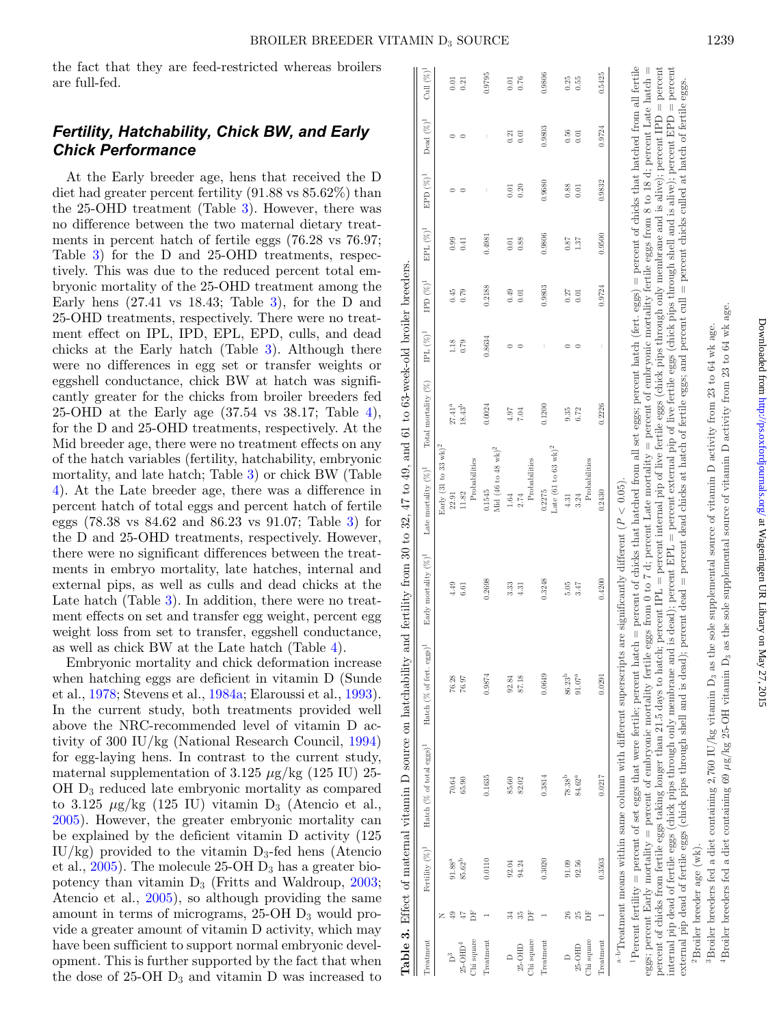| Fertility, Hatchability, Chick BW, and Early<br><b>Chick Performance</b>                                                                                                                                                                                                                              |
|-------------------------------------------------------------------------------------------------------------------------------------------------------------------------------------------------------------------------------------------------------------------------------------------------------|
| At the Early breeder age, hens that received the D<br>diet had greater percent fertility $(91.88 \text{ vs } 85.62\%)$ than<br>the 25-OHD treatment (Table 3). However, there was<br>no difference between the two maternal dietary treat-<br>ments in percent hatch of fertile eggs (76.28 vs 76.97; |
| Table $3$ ) for the D and 25-OHD treatments, respec-<br>tively. This was due to the reduced percent total em-                                                                                                                                                                                         |
| bryonic mortality of the 25-OHD treatment among the                                                                                                                                                                                                                                                   |
| Early hens $(27.41 \text{ vs } 18.43; \text{ Table } 3)$ , for the D and                                                                                                                                                                                                                              |
| 25-OHD treatments, respectively. There were no treat-                                                                                                                                                                                                                                                 |
| ment effect on IPL, IPD, EPL, EPD, culls, and dead                                                                                                                                                                                                                                                    |
| chicks at the Early hatch (Table 3). Although there                                                                                                                                                                                                                                                   |
| were no differences in egg set or transfer weights or                                                                                                                                                                                                                                                 |
| eggshell conductance, chick BW at hatch was signifi-                                                                                                                                                                                                                                                  |
| cantly greater for the chicks from broiler breeders fed                                                                                                                                                                                                                                               |
| 25-OHD at the Early age $(37.54 \text{ vs } 38.17; \text{ Table } 4)$ ,                                                                                                                                                                                                                               |
| for the D and 25-OHD treatments, respectively. At the                                                                                                                                                                                                                                                 |
| Mid breeder age, there were no treatment effects on any                                                                                                                                                                                                                                               |
| of the hatch variables (fertility, hatchability, embryonic                                                                                                                                                                                                                                            |
| mortality, and late hatch; Table 3) or chick BW (Table                                                                                                                                                                                                                                                |
| 4). At the Late breeder age, there was a difference in                                                                                                                                                                                                                                                |
| percent hatch of total eggs and percent hatch of fertile                                                                                                                                                                                                                                              |
| eggs (78.38 vs 84.62 and 86.23 vs 91.07; Table 3) for                                                                                                                                                                                                                                                 |
| the D and 25-OHD treatments, respectively. However,                                                                                                                                                                                                                                                   |
| there were no significant differences between the treat-                                                                                                                                                                                                                                              |
| ments in embryo mortality, late hatches, internal and                                                                                                                                                                                                                                                 |
| external pips, as well as culls and dead chicks at the                                                                                                                                                                                                                                                |

the fact that they are feed-restricted whereas broilers are full-fed.

# *Fertility, Hatchability, Chick BW, and Early Chick Performance*

In the current study, both treatments provided well above the NRC-recommended level of vitamin D activity of 300 IU/kg (National Research Council, [1994\)](#page-12-8) for egg-laying hens. In contrast to the current study, maternal supplementation of 3.125  $\mu$ g/kg (125 IU) 25-OH D3 reduced late embryonic mortality as compared to 3.125  $\mu$ g/kg (125 IU) vitamin D<sub>3</sub> (Atencio et al., [2005\)](#page-11-6). However, the greater embryonic mortality can be explained by the deficient vitamin D activity (125 IU/kg) provided to the vitamin  $D_3$ -fed hens (Atencio et al.,  $2005$ ). The molecule 25-OH  $D_3$  has a greater biopotency than vitamin  $D_3$  (Fritts and Waldroup, [2003;](#page-12-31) Atencio et al., [2005\)](#page-11-6), so although providing the same amount in terms of micrograms, 25-OH D3 would provide a greater amount of vitamin D activity, which may have been sufficient to support normal embryonic development. This is further supported by the fact that when the dose of  $25$ -OH  $D_3$  and vitamin D was increased to

Late hatch (Table [3\)](#page-6-0). In addition, there were no treatment effects on set and transfer egg weight, percent egg weight loss from set to transfer, eggshell conductance, as well as chick BW at the Late hatch (Table [4\)](#page-7-0).

Embryonic mortality and chick deformation increase when hatching eggs are deficient in vitamin D (Sunde et al., [1978;](#page-12-28) Stevens et al., [1984a;](#page-12-29) Elaroussi et al., [1993\)](#page-12-30).

| Featment            |    | Fertility $(\%)^1$ | Hatch (% of total eggs) <sup>1</sup>                                                                                     | Hatch (% of fert. eggs) $^1$ | Early mortality $(%)1$ | Late mortality $(\%)^1$                    | Total mortality (%) | IPL $(\%)^1$ | IPD $(\%)^1$ | EPL $(\%)^1$ | EPD $(%)1$ | Dead $(\%)$ <sup>1</sup> | Cull $(\%)^1$ |
|---------------------|----|--------------------|--------------------------------------------------------------------------------------------------------------------------|------------------------------|------------------------|--------------------------------------------|---------------------|--------------|--------------|--------------|------------|--------------------------|---------------|
|                     |    |                    |                                                                                                                          |                              |                        | Early (31 to 33 $\text{wk}$ ) <sup>2</sup> |                     |              |              |              |            |                          |               |
| ငိ                  |    | $91.88^{a}$        | 70.64                                                                                                                    | 76.28                        | 4.49                   | 22.91                                      | $27.41^{\rm a}$     | 1.18         | 0.45         | 0.99         | 0          |                          | $0.01\,$      |
| $25-0H\mathrm{D}^4$ | 47 | 85.62 <sup>b</sup> | 65.90                                                                                                                    | 76.97                        | 6.61                   | 11.82                                      | $18.43^{b}$         | 0.79         | 0.79         | 0.41         | $\circ$    | ∊                        | 0.21          |
| Chi square          | È  |                    |                                                                                                                          |                              |                        | Probabilities                              |                     |              |              |              |            |                          |               |
| Treatment           |    | 0.0110             | 0.1635                                                                                                                   | 0.9874                       | 0.2698                 | 0.1545                                     | 0.0024              | 0.8634       | 0.2188       | 0.4981       | I          | Ï                        | 0.9795        |
|                     |    |                    |                                                                                                                          |                              |                        | Mid (46 to 48 wk) <sup>2</sup>             |                     |              |              |              |            |                          |               |
|                     | 24 | 92.04              | 85.60                                                                                                                    | 92.84                        | 3.33                   | 1.64                                       | 197                 |              | 0.49         | 0.01         | 0.01       | 0.21                     | 0.01          |
| 25-OHD              | B  | 94.24              | 82.02                                                                                                                    | 87.18                        | 4.31                   | 2.74                                       | 7.04                |              | 0.01         | 0.88         | 0.20       | 0.01                     | 0.76          |
| Chi square          | È  |                    |                                                                                                                          |                              |                        | Probabilities                              |                     |              |              |              |            |                          |               |
| Treatment           |    | 0.3020             | 0.3814                                                                                                                   | 0.0649                       | 0.3248                 | 0.2275                                     | 0.1200              | I            | 0.9803       | 0.9806       | 0.9680     | 0.9803                   | 0.9806        |
|                     |    |                    |                                                                                                                          |                              |                        | Late (61 to 63 wk) <sup>2</sup>            |                     |              |              |              |            |                          |               |
|                     | 26 | 91.09              | $78.38^{b}$                                                                                                              | 86.23 <sup>b</sup>           | 5.05                   | 4.31                                       | 9.35                |              | 0.27         | 0.87         | 0.88       | 0.56                     | 0.25          |
| 25-OHD              | 25 | 92.56              | $84.62^{\rm a}$                                                                                                          | $91.07^{a}$                  | 3.47                   | 3.24                                       | 6.72                |              | 0.01         | 1.37         | 0.01       | 0.01                     | 0.55          |
| Chi square          | È  |                    |                                                                                                                          |                              |                        | Probabilities                              |                     |              |              |              |            |                          |               |
| Treatment           |    | 0.3503             | 0.0217                                                                                                                   | 0.0291                       | 0.4200                 | 0.2430                                     | 0.2226              | I            | 0.9724       | 0.9500       | 0.9832     | 0.9724                   | 0.5425        |
|                     |    |                    | <sup>a-b</sup> Treatment means within same column with different superscripts are significantly different ( $P < 0.05$ ) |                              |                        |                                            |                     |              |              |              |            |                          |               |

**Table 3.** Effect of maternal vitamin D source on hatchability and fertility from 30 to 32, 47 to 49, and 61 to 63-week-old broiler breeders.

<span id="page-6-0"></span>**Table 3.** Effect of maternal vitamin  $D$  source on hatchability and fertility from 30 to 32,

47 to 49, and 61 to 63-week-old broiler breeders.

vesor definition of the searching longer than 21.5 days batch; percent IPL = percent internal pip of live fertile egg (chick pips through only members and is alive); percent IPD = percent internal pip of live fertile egg ( = percent of chicks that hatched from all fertile  $\lvert \rvert$ Percent fertility = percent of set eggs that were fertile; percent hatch = percent of chicks that hatched from all set eggs; percent hatch (fert. eggs) = percent of chicks that hatched from all fertile eggs; percent Early mortality = percent of embryonic mortality fertile eggs from 0 to 7 d; percent Late mortality = percent of embryonic mortality fertile eggs from 8 to 18 d; percent Late hatch = percent of chicks from fertile eggs taking longer than 21.5 days to hatch; percent IPL = percent internal pip of live fertile eggs (chick pips through only membrane and is alive); percent IPD = percent internal pip dead of fertile eggs (chick pips through only membrane and is dead); percent EPL = percent external pip of live fertile eggs (chick pips through shell and is alive); percent EPD = percent eggs; percent Early mortality = percent of embryonic mortality fertile eggs from 0 to 7 d; percent Late mortality = percent of embryonic mortality fertile eggs from 8 to 18 d; percent Late hatch external pip dead of fertile eggs (chick pips through shell and is dead); percent dead = percent dead chicks at hatch of fertile eggs; and percent cull = percent chicks culled at hatch of fertile eggs.  ${}^{1}$ Percent fertility = percent of set eggs that were fertile; percent hatch = percent of chicks that hatched from all set eggs; percent hatch (fert. eggs)  ${}^{2}$ Broiler breeder age (wk). 2Broiler breeder age (wk).

Broiler breeders fed a diet containing 69  $\mu$ g/kg 25-OH vitamin D<sub>3</sub> as the sole supplemental source of vitamin D activity from 23 to 64 wk age. <sup>4</sup>Broiler breeders fed a diet containing 69  $\mu$ g/kg 25-OH vitamin D<sub>3</sub> as the sole supplemental source of vitamin D activity from 23 to 64 wk age. Broiler breeders fed a diet containing 2,760 IU/kg vitamin D<sub>3</sub> as the sole supplemental source of vitamin D activity from 23 to 64 wk age. <sup>3</sup>Broiler breeders fed a diet containing 2,760 IU/kg vitamin D<sub>3</sub> as the sole supplemental source of vitamin D activity from 23 to 64 wk age.

BROILER BREEDER VITAMIN  $D_3$  SOURCE 1239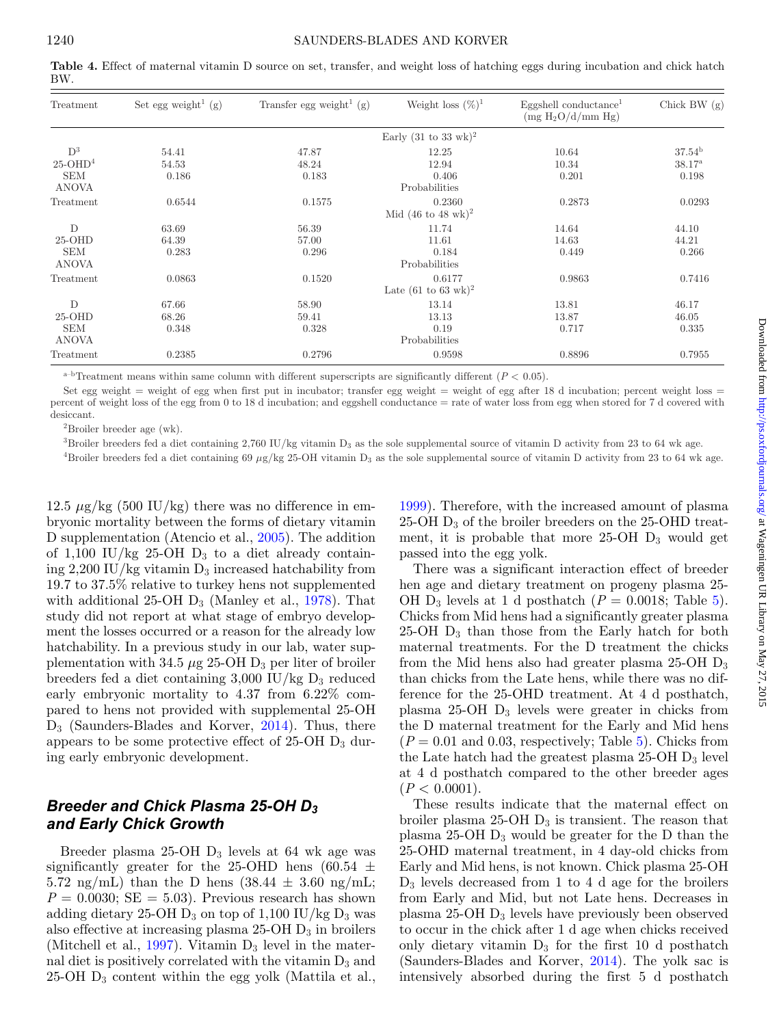<span id="page-7-0"></span>**Table 4.** Effect of maternal vitamin D source on set, transfer, and weight loss of hatching eggs during incubation and chick hatch BW.

| Treatment                                                              | Set egg weight <sup>1</sup> (g) | Transfer egg weight <sup>1</sup> (g) | Weight loss $(\%)^1$                             | Eggshell conductance <sup>1</sup><br>$(mg H_2O/d/mm Hg)$ | Chick BW $(g)$                              |
|------------------------------------------------------------------------|---------------------------------|--------------------------------------|--------------------------------------------------|----------------------------------------------------------|---------------------------------------------|
|                                                                        |                                 |                                      | Early $(31 \text{ to } 33 \text{ wk})^2$         |                                                          |                                             |
| $\mathbb{D}^3$<br>$25$ -OHD <sup>4</sup><br><b>SEM</b><br><b>ANOVA</b> | 54.41<br>54.53<br>0.186         | 47.87<br>48.24<br>0.183              | 12.25<br>12.94<br>0.406<br>Probabilities         | 10.64<br>10.34<br>0.201                                  | $37.54^{\rm b}$<br>$38.17^{\rm a}$<br>0.198 |
| Treatment                                                              | 0.6544                          | 0.1575                               | 0.2360<br>Mid $(46 \text{ to } 48 \text{ wk})^2$ | 0.2873                                                   | 0.0293                                      |
| D<br>$25-OHD$<br><b>SEM</b><br><b>ANOVA</b>                            | 63.69<br>64.39<br>0.283         | 56.39<br>57.00<br>0.296              | 11.74<br>11.61<br>0.184<br>Probabilities         | 14.64<br>14.63<br>0.449                                  | 44.10<br>44.21<br>0.266                     |
| Treatment                                                              | 0.0863                          | 0.1520                               | 0.6177<br>Late (61 to 63 wk) <sup>2</sup>        | 0.9863                                                   | 0.7416                                      |
| $\mathbf{D}$<br>$25-OHD$<br><b>SEM</b><br>ANOVA                        | 67.66<br>68.26<br>0.348         | 58.90<br>59.41<br>0.328              | 13.14<br>13.13<br>0.19<br>Probabilities          | 13.81<br>13.87<br>0.717                                  | 46.17<br>46.05<br>0.335                     |
| Treatment                                                              | 0.2385                          | 0.2796                               | 0.9598                                           | 0.8896                                                   | 0.7955                                      |

<sup>a–b</sup>Treatment means within same column with different superscripts are significantly different  $(P < 0.05)$ .

Set egg weight = weight of egg when first put in incubator; transfer egg weight = weight of egg after 18 d incubation; percent weight loss = percent of weight loss of the egg from 0 to 18 d incubation; and eggshell conductance = rate of water loss from egg when stored for 7 d covered with desiccant.

2Broiler breeder age (wk).

<sup>3</sup>Broiler breeders fed a diet containing 2,760 IU/kg vitamin D<sub>3</sub> as the sole supplemental source of vitamin D activity from 23 to 64 wk age.

<sup>4</sup>Broiler breeders fed a diet containing 69  $\mu$ g/kg 25-OH vitamin D<sub>3</sub> as the sole supplemental source of vitamin D activity from 23 to 64 wk age.

 $12.5 \mu$ g/kg (500 IU/kg) there was no difference in embryonic mortality between the forms of dietary vitamin D supplementation (Atencio et al., [2005\)](#page-11-6). The addition of 1,100 IU/kg 25-OH  $D_3$  to a diet already containing  $2,200$  IU/kg vitamin  $D_3$  increased hatchability from 19.7 to 37.5% relative to turkey hens not supplemented with additional 25-OH  $D_3$  (Manley et al., [1978\)](#page-12-2). That study did not report at what stage of embryo development the losses occurred or a reason for the already low hatchability. In a previous study in our lab, water supplementation with 34.5  $\mu$ g 25-OH D<sub>3</sub> per liter of broiler breeders fed a diet containing  $3,000$  IU/kg  $D_3$  reduced early embryonic mortality to 4.37 from 6.22% compared to hens not provided with supplemental 25-OH D3 (Saunders-Blades and Korver, [2014\)](#page-12-24). Thus, there appears to be some protective effect of  $25$ -OH  $D_3$  during early embryonic development.

## *Breeder and Chick Plasma 25-OH D3 and Early Chick Growth*

Breeder plasma 25-OH D3 levels at 64 wk age was significantly greater for the 25-OHD hens  $(60.54 \pm 10^{-10})$ 5.72 ng/mL) than the D hens  $(38.44 \pm 3.60 \text{ ng/mL};$  $P = 0.0030$ ; SE = 5.03). Previous research has shown adding dietary 25-OH  $D_3$  on top of 1,100 IU/kg  $D_3$  was also effective at increasing plasma  $25$ -OH  $D_3$  in broilers (Mitchell et al., [1997\)](#page-12-32). Vitamin  $D_3$  level in the maternal diet is positively correlated with the vitamin  $D_3$  and  $25$ -OH  $D_3$  content within the egg yolk (Mattila et al.,

[1999\)](#page-12-0). Therefore, with the increased amount of plasma  $25$ -OH  $D_3$  of the broiler breeders on the 25-OHD treatment, it is probable that more 25-OH D3 would get passed into the egg yolk.

There was a significant interaction effect of breeder hen age and dietary treatment on progeny plasma 25- OH  $D_3$  levels at 1 d posthatch ( $P = 0.0018$ ; Table [5\)](#page-8-0). Chicks from Mid hens had a significantly greater plasma  $25$ -OH  $D_3$  than those from the Early hatch for both maternal treatments. For the D treatment the chicks from the Mid hens also had greater plasma  $25$ -OH  $D_3$ than chicks from the Late hens, while there was no difference for the 25-OHD treatment. At 4 d posthatch, plasma  $25$ -OH  $D_3$  levels were greater in chicks from the D maternal treatment for the Early and Mid hens  $(P = 0.01$  and 0.03, respectively; Table [5\)](#page-8-0). Chicks from the Late hatch had the greatest plasma  $25$ -OH  $D_3$  level at 4 d posthatch compared to the other breeder ages  $(P < 0.0001)$ .

These results indicate that the maternal effect on broiler plasma  $25$ -OH  $D_3$  is transient. The reason that plasma 25-OH D3 would be greater for the D than the 25-OHD maternal treatment, in 4 day-old chicks from Early and Mid hens, is not known. Chick plasma 25-OH D3 levels decreased from 1 to 4 d age for the broilers from Early and Mid, but not Late hens. Decreases in plasma 25-OH D3 levels have previously been observed to occur in the chick after 1 d age when chicks received only dietary vitamin  $D_3$  for the first 10 d posthatch (Saunders-Blades and Korver, [2014\)](#page-12-24). The yolk sac is intensively absorbed during the first 5 d posthatch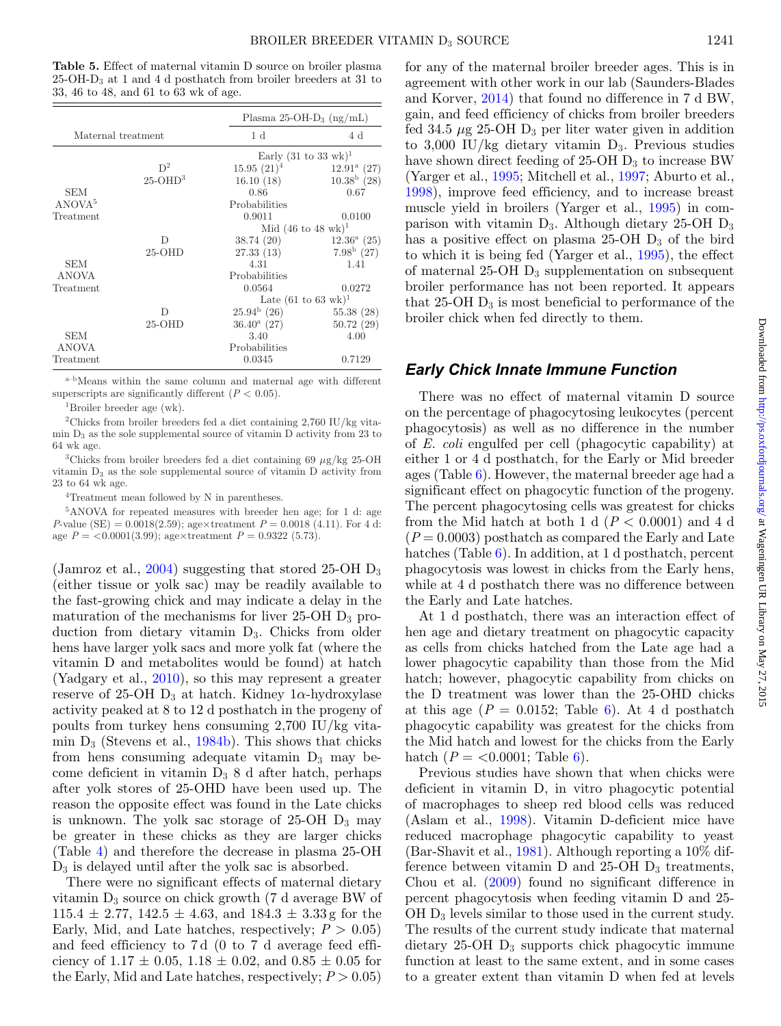<span id="page-8-0"></span>**Table 5.** Effect of maternal vitamin D source on broiler plasma 25-OH-D3 at 1 and 4 d posthatch from broiler breeders at 31 to 33, 46 to 48, and 61 to 63 wk of age.

|                    |                               | Plasma $25$ -OH-D <sub>3</sub> (ng/mL)   |                      |
|--------------------|-------------------------------|------------------------------------------|----------------------|
| Maternal treatment |                               | 1 <sub>d</sub>                           | 4 d                  |
|                    |                               | Early $(31 \text{ to } 33 \text{ wk})^1$ |                      |
|                    | $\mathcal{D}^2$               | $15.95(21)^4$                            | $12.91^{\rm a}$ (27) |
|                    | $25\text{-}$ OHD <sup>3</sup> | 16.10(18)                                | $10.38^b$ (28)       |
| <b>SEM</b>         |                               | 0.86                                     | 0.67                 |
| ANOVA <sup>5</sup> |                               | Probabilities                            |                      |
| Treatment          |                               | 0.9011                                   | 0.0100               |
|                    |                               | Mid $(46 \text{ to } 48 \text{ wk})^1$   |                      |
|                    | D                             | 38.74 (20)                               | $12.36^{\rm a}$ (25) |
|                    | $25$ -OHD                     | 27.33 (13)                               | $7.98b$ (27)         |
| <b>SEM</b>         |                               | 4.31                                     | 1.41                 |
| <b>ANOVA</b>       |                               | Probabilities                            |                      |
| Treatment          |                               | 0.0564                                   | 0.0272               |
|                    |                               | Late $(61 \text{ to } 63 \text{ wk})^1$  |                      |
|                    | D                             | $25.94^b$ (26)                           | 55.38 (28)           |
|                    | $25$ -OHD                     | $36.40^{\rm a}$ (27)                     | 50.72(29)            |
| <b>SEM</b>         |                               | 3.40                                     | 4.00                 |
| <b>ANOVA</b>       |                               | Probabilities                            |                      |
| Treatment          |                               | 0.0345                                   | 0.7129               |

a–bMeans within the same column and maternal age with different superscripts are significantly different  $(P < 0.05)$ .

1Broiler breeder age (wk).

2Chicks from broiler breeders fed a diet containing 2,760 IU/kg vitamin  $D_3$  as the sole supplemental source of vitamin  $D$  activity from 23 to 64 wk age.

<sup>3</sup>Chicks from broiler breeders fed a diet containing 69  $\mu$ g/kg 25-OH vitamin  $D_3$  as the sole supplemental source of vitamin  $D$  activity from 23 to 64 wk age.

4Treatment mean followed by N in parentheses.

5ANOVA for repeated measures with breeder hen age; for 1 d: age *P*-value (SE) =  $0.0018(2.59)$ ; age×treatment *P* =  $0.0018(4.11)$ . For 4 d: age  $P = \langle 0.0001(3.99)$ ; age×treatment  $P = 0.9322$  (5.73).

(Jamroz et al., [2004\)](#page-12-33) suggesting that stored 25-OH  $D_3$ (either tissue or yolk sac) may be readily available to the fast-growing chick and may indicate a delay in the maturation of the mechanisms for liver  $25$ -OH  $D_3$  production from dietary vitamin  $D_3$ . Chicks from older hens have larger yolk sacs and more yolk fat (where the vitamin D and metabolites would be found) at hatch (Yadgary et al., [2010\)](#page-13-4), so this may represent a greater reserve of 25-OH  $D_3$  at hatch. Kidney 1 $\alpha$ -hydroxylase activity peaked at 8 to 12 d posthatch in the progeny of poults from turkey hens consuming 2,700 IU/kg vitamin  $D_3$  (Stevens et al., [1984b\)](#page-12-34). This shows that chicks from hens consuming adequate vitamin  $D_3$  may become deficient in vitamin  $D_3$  8 d after hatch, perhaps after yolk stores of 25-OHD have been used up. The reason the opposite effect was found in the Late chicks is unknown. The yolk sac storage of  $25$ -OH  $D_3$  may be greater in these chicks as they are larger chicks (Table [4\)](#page-7-0) and therefore the decrease in plasma 25-OH  $D_3$  is delayed until after the yolk sac is absorbed.

There were no significant effects of maternal dietary vitamin  $D_3$  source on chick growth (7 d average BW of  $115.4 \pm 2.77$ ,  $142.5 \pm 4.63$ , and  $184.3 \pm 3.33$  g for the Early, Mid, and Late hatches, respectively;  $P > 0.05$ ) and feed efficiency to 7 d (0 to 7 d average feed efficiency of  $1.17 \pm 0.05$ ,  $1.18 \pm 0.02$ , and  $0.85 \pm 0.05$  for the Early, Mid and Late hatches, respectively;  $P > 0.05$ )

for any of the maternal broiler breeder ages. This is in agreement with other work in our lab (Saunders-Blades and Korver, [2014\)](#page-12-24) that found no difference in 7 d BW, gain, and feed efficiency of chicks from broiler breeders fed 34.5  $\mu$ g 25-OH D<sub>3</sub> per liter water given in addition to 3,000 IU/kg dietary vitamin  $D_3$ . Previous studies have shown direct feeding of  $25$ -OH  $D_3$  to increase BW (Yarger et al., [1995;](#page-13-3) Mitchell et al., [1997;](#page-12-32) Aburto et al., [1998\)](#page-11-9), improve feed efficiency, and to increase breast muscle yield in broilers (Yarger et al., [1995\)](#page-13-3) in comparison with vitamin D3. Although dietary 25-OH D3 has a positive effect on plasma  $25$ -OH  $D_3$  of the bird to which it is being fed (Yarger et al., [1995\)](#page-13-3), the effect of maternal  $25$ -OH  $D_3$  supplementation on subsequent broiler performance has not been reported. It appears that  $25$ -OH  $D_3$  is most beneficial to performance of the broiler chick when fed directly to them.

#### *Early Chick Innate Immune Function*

There was no effect of maternal vitamin D source on the percentage of phagocytosing leukocytes (percent phagocytosis) as well as no difference in the number of *E. coli* engulfed per cell (phagocytic capability) at either 1 or 4 d posthatch, for the Early or Mid breeder ages (Table [6\)](#page-9-0). However, the maternal breeder age had a significant effect on phagocytic function of the progeny. The percent phagocytosing cells was greatest for chicks from the Mid hatch at both 1 d  $(P < 0.0001)$  and 4 d  $(P = 0.0003)$  posthatch as compared the Early and Late hatches (Table [6\)](#page-9-0). In addition, at 1 d posthatch, percent phagocytosis was lowest in chicks from the Early hens, while at 4 d posthatch there was no difference between the Early and Late hatches.

At 1 d posthatch, there was an interaction effect of hen age and dietary treatment on phagocytic capacity as cells from chicks hatched from the Late age had a lower phagocytic capability than those from the Mid hatch; however, phagocytic capability from chicks on the D treatment was lower than the 25-OHD chicks at this age  $(P = 0.0152$ ; Table [6\)](#page-9-0). At 4 d posthatch phagocytic capability was greatest for the chicks from the Mid hatch and lowest for the chicks from the Early hatch  $(P = 0.0001;$  Table [6\)](#page-9-0).

Previous studies have shown that when chicks were deficient in vitamin D, in vitro phagocytic potential of macrophages to sheep red blood cells was reduced (Aslam et al., [1998\)](#page-11-2). Vitamin D-deficient mice have reduced macrophage phagocytic capability to yeast (Bar-Shavit et al.,  $1981$ ). Although reporting a  $10\%$  difference between vitamin  $D$  and  $25-OH D_3$  treatments, Chou et al. [\(2009\)](#page-12-35) found no significant difference in percent phagocytosis when feeding vitamin D and 25- OH D3 levels similar to those used in the current study. The results of the current study indicate that maternal dietary 25-OH D3 supports chick phagocytic immune function at least to the same extent, and in some cases to a greater extent than vitamin D when fed at levels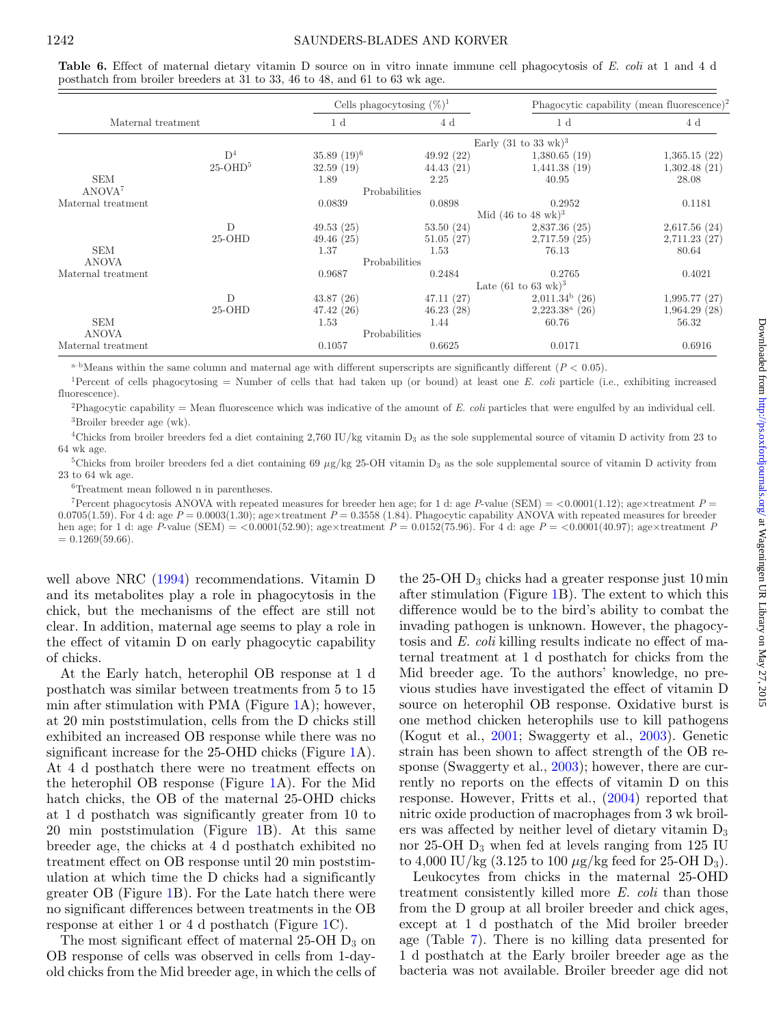<span id="page-9-0"></span>

|                                                                             |  |  |  |  | Table 6. Effect of maternal dietary vitamin D source on in vitro innate immune cell phagocytosis of E. coli at 1 and 4 d |  |  |  |
|-----------------------------------------------------------------------------|--|--|--|--|--------------------------------------------------------------------------------------------------------------------------|--|--|--|
| posthatch from broiler breeders at 31 to 33, 46 to 48, and 61 to 63 wk age. |  |  |  |  |                                                                                                                          |  |  |  |

|                    |                        | Cells phagocytosing $(\%)^1$ |               | Phagocytic capability (mean fluorescence) <sup>2</sup> |              |
|--------------------|------------------------|------------------------------|---------------|--------------------------------------------------------|--------------|
| Maternal treatment |                        | 1 <sub>d</sub>               | 4 d           | 1 <sub>d</sub>                                         | 4 d          |
|                    |                        |                              |               | Early $(31 \text{ to } 33 \text{ wk})^3$               |              |
|                    | $\mathcal{D}^4$        | $35.89(19)^6$                | 49.92(22)     | 1,380.65(19)                                           | 1,365.15(22) |
|                    | $25$ -OHD <sup>5</sup> | 32.59(19)                    | 44.43(21)     | 1,441.38(19)                                           | 1,302.48(21) |
| <b>SEM</b>         |                        | 1.89                         | 2.25          | 40.95                                                  | 28.08        |
| ANOVA <sup>7</sup> |                        |                              | Probabilities |                                                        |              |
| Maternal treatment |                        | 0.0839                       | 0.0898        | 0.2952                                                 | 0.1181       |
|                    |                        |                              |               | Mid $(46 \text{ to } 48 \text{ wk})^3$                 |              |
|                    | D                      | 49.53(25)                    | 53.50(24)     | 2,837.36(25)                                           | 2,617.56(24) |
|                    | $25-OHD$               | 49.46(25)                    | 51.05(27)     | 2,717.59(25)                                           | 2,711.23(27) |
| <b>SEM</b>         |                        | 1.37                         | 1.53          | 76.13                                                  | 80.64        |
| <b>ANOVA</b>       |                        |                              | Probabilities |                                                        |              |
| Maternal treatment |                        | 0.9687                       | 0.2484        | 0.2765                                                 | 0.4021       |
|                    |                        |                              |               | Late $(61 \text{ to } 63 \text{ wk})^3$                |              |
|                    | D                      | 43.87(26)                    | 47.11(27)     | $2,011.34^b(26)$                                       | 1,995.77(27) |
|                    | $25-OHD$               | 47.42(26)                    | 46.23(28)     | $2,223.38^{\mathrm{a}}$ (26)                           | 1,964.29(28) |
| <b>SEM</b>         |                        | 1.53                         | 1.44          | 60.76                                                  | 56.32        |
| ANOVA              |                        |                              | Probabilities |                                                        |              |
| Maternal treatment |                        | 0.1057                       | 0.6625        | 0.0171                                                 | 0.6916       |

 $a$ –bMeans within the same column and maternal age with different superscripts are significantly different  $(P < 0.05)$ .

1Percent of cells phagocytosing = Number of cells that had taken up (or bound) at least one *E. coli* particle (i.e., exhibiting increased fluorescence).

<sup>2</sup>Phagocytic capability = Mean fluorescence which was indicative of the amount of *E. coli* particles that were engulfed by an individual cell. 3Broiler breeder age (wk).

<sup>4</sup>Chicks from broiler breeders fed a diet containing 2,760 IU/kg vitamin  $D_3$  as the sole supplemental source of vitamin D activity from 23 to 64 wk age.

<sup>5</sup>Chicks from broiler breeders fed a diet containing 69  $\mu$ g/kg 25-OH vitamin D<sub>3</sub> as the sole supplemental source of vitamin D activity from 23 to 64 wk age.

6Treatment mean followed n in parentheses.

<sup>7</sup>Percent phagocytosis ANOVA with repeated measures for breeder hen age; for 1 d: age *P*-value (SEM) = <0.0001(1.12); age×treatment  $P =$ 0.0705(1.59). For 4 d: age  $P = 0.0003(1.30)$ ; age×treatment  $P = 0.3558$  (1.84). Phagocytic capability ANOVA with repeated measures for breeder hen age; for 1 d: age *P*-value (SEM) = <0.0001(52.90); age×treatment *P* = 0.0152(75.96). For 4 d: age *P* = <0.0001(40.97); age×treatment *P*  $= 0.1269(59.66).$ 

well above NRC [\(1994\)](#page-12-8) recommendations. Vitamin D and its metabolites play a role in phagocytosis in the chick, but the mechanisms of the effect are still not clear. In addition, maternal age seems to play a role in the effect of vitamin D on early phagocytic capability of chicks.

At the Early hatch, heterophil OB response at 1 d posthatch was similar between treatments from 5 to 15 min after stimulation with PMA (Figure [1A](#page-10-0)); however, at 20 min poststimulation, cells from the D chicks still exhibited an increased OB response while there was no significant increase for the 25-OHD chicks (Figure [1A](#page-10-0)). At 4 d posthatch there were no treatment effects on the heterophil OB response (Figure [1A](#page-10-0)). For the Mid hatch chicks, the OB of the maternal 25-OHD chicks at 1 d posthatch was significantly greater from 10 to 20 min poststimulation (Figure [1B](#page-10-0)). At this same breeder age, the chicks at 4 d posthatch exhibited no treatment effect on OB response until 20 min poststimulation at which time the D chicks had a significantly greater OB (Figure [1B](#page-10-0)). For the Late hatch there were no significant differences between treatments in the OB response at either 1 or 4 d posthatch (Figure [1C](#page-10-0)).

The most significant effect of maternal  $25$ -OH  $D_3$  on OB response of cells was observed in cells from 1-dayold chicks from the Mid breeder age, in which the cells of the  $25$ -OH  $D_3$  chicks had a greater response just 10 min after stimulation (Figure [1B](#page-10-0)). The extent to which this difference would be to the bird's ability to combat the invading pathogen is unknown. However, the phagocytosis and *E. coli* killing results indicate no effect of maternal treatment at 1 d posthatch for chicks from the Mid breeder age. To the authors' knowledge, no previous studies have investigated the effect of vitamin D source on heterophil OB response. Oxidative burst is one method chicken heterophils use to kill pathogens (Kogut et al., [2001;](#page-12-36) Swaggerty et al., [2003\)](#page-12-37). Genetic strain has been shown to affect strength of the OB response (Swaggerty et al., [2003\)](#page-12-37); however, there are currently no reports on the effects of vitamin D on this response. However, Fritts et al., [\(2004\)](#page-12-38) reported that nitric oxide production of macrophages from 3 wk broilers was affected by neither level of dietary vitamin  $D_3$ nor 25-OH D3 when fed at levels ranging from 125 IU to 4,000 IU/kg (3.125 to 100  $\mu$ g/kg feed for 25-OH D<sub>3</sub>).

Leukocytes from chicks in the maternal 25-OHD treatment consistently killed more *E. coli* than those from the D group at all broiler breeder and chick ages, except at 1 d posthatch of the Mid broiler breeder age (Table [7\)](#page-11-11). There is no killing data presented for 1 d posthatch at the Early broiler breeder age as the bacteria was not available. Broiler breeder age did not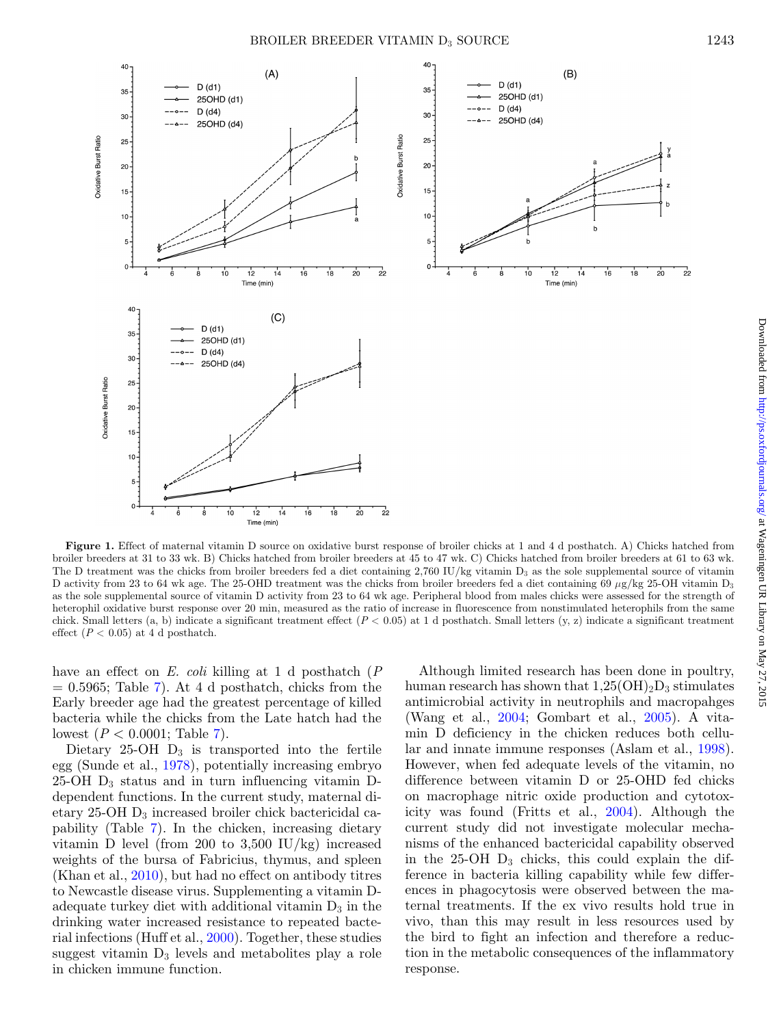<span id="page-10-0"></span>

**Figure 1.** Effect of maternal vitamin D source on oxidative burst response of broiler chicks at 1 and 4 d posthatch. A) Chicks hatched from broiler breeders at 31 to 33 wk. B) Chicks hatched from broiler breeders at 45 to 47 wk. C) Chicks hatched from broiler breeders at 61 to 63 wk. The D treatment was the chicks from broiler breeders fed a diet containing  $2,760$  IU/kg vitamin  $D_3$  as the sole supplemental source of vitamin D activity from 23 to 64 wk age. The 25-OHD treatment was the chicks from broiler breeders fed a diet containing 69  $\mu$ g/kg 25-OH vitamin D<sub>3</sub> as the sole supplemental source of vitamin D activity from 23 to 64 wk age. Peripheral blood from males chicks were assessed for the strength of heterophil oxidative burst response over 20 min, measured as the ratio of increase in fluorescence from nonstimulated heterophils from the same chick. Small letters (a, b) indicate a significant treatment effect  $(P < 0.05)$  at 1 d posthatch. Small letters  $(y, z)$  indicate a significant treatment effect  $(P < 0.05)$  at 4 d posthatch.

have an effect on *E. coli* killing at 1 d posthatch (*P*  $= 0.5965$ ; Table [7\)](#page-11-11). At 4 d posthatch, chicks from the Early breeder age had the greatest percentage of killed bacteria while the chicks from the Late hatch had the lowest (*P* < 0.0001; Table [7\)](#page-11-11).

Dietary  $25$ -OH  $D_3$  is transported into the fertile egg (Sunde et al., [1978\)](#page-12-28), potentially increasing embryo  $25$ -OH  $D_3$  status and in turn influencing vitamin Ddependent functions. In the current study, maternal dietary 25-OH D3 increased broiler chick bactericidal capability (Table [7\)](#page-11-11). In the chicken, increasing dietary vitamin D level (from 200 to 3,500 IU/kg) increased weights of the bursa of Fabricius, thymus, and spleen (Khan et al., [2010\)](#page-12-39), but had no effect on antibody titres to Newcastle disease virus. Supplementing a vitamin Dadequate turkey diet with additional vitamin  $D_3$  in the drinking water increased resistance to repeated bacterial infections (Huff et al., [2000\)](#page-12-40). Together, these studies suggest vitamin  $D_3$  levels and metabolites play a role in chicken immune function.

Although limited research has been done in poultry, human research has shown that  $1,25(OH)<sub>2</sub>D<sub>3</sub>$  stimulates antimicrobial activity in neutrophils and macropahges (Wang et al., [2004;](#page-12-41) Gombart et al., [2005\)](#page-12-42). A vitamin D deficiency in the chicken reduces both cellular and innate immune responses (Aslam et al., [1998\)](#page-11-2). However, when fed adequate levels of the vitamin, no difference between vitamin D or 25-OHD fed chicks on macrophage nitric oxide production and cytotoxicity was found (Fritts et al., [2004\)](#page-12-38). Although the current study did not investigate molecular mechanisms of the enhanced bactericidal capability observed in the  $25-OH$   $D_3$  chicks, this could explain the difference in bacteria killing capability while few differences in phagocytosis were observed between the maternal treatments. If the ex vivo results hold true in vivo, than this may result in less resources used by the bird to fight an infection and therefore a reduction in the metabolic consequences of the inflammatory response.

 $\frac{1}{20}$  $\overline{z}$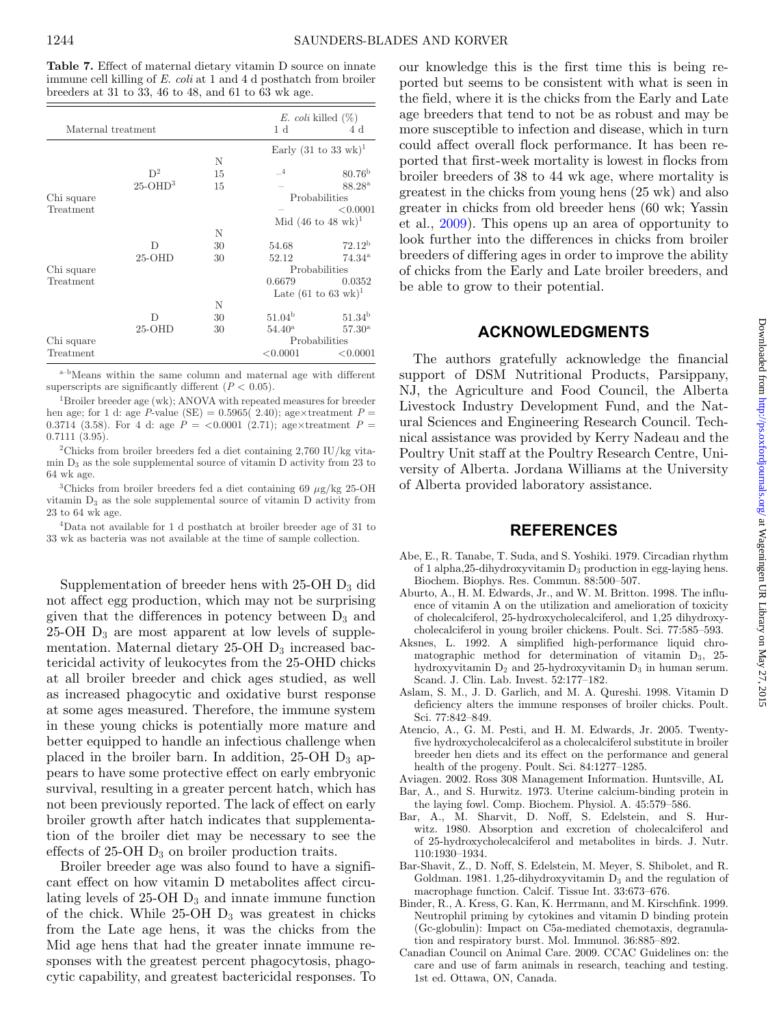<span id="page-11-11"></span>**Table 7.** Effect of maternal dietary vitamin D source on innate immune cell killing of *E. coli* at 1 and 4 d posthatch from broiler breeders at 31 to 33, 46 to 48, and 61 to 63 wk age.

| Maternal treatment |                               |    | 1 d                | E. coli killed $(\%)$<br>4 d             |
|--------------------|-------------------------------|----|--------------------|------------------------------------------|
|                    |                               |    |                    | Early $(31 \text{ to } 33 \text{ wk})^1$ |
|                    |                               | N  |                    |                                          |
|                    | $\mathcal{D}^2$               | 15 |                    | 80.76 <sup>b</sup>                       |
|                    | $25\text{-}$ OHD <sup>3</sup> | 15 |                    | $88.28^{\rm a}$                          |
| Chi square         |                               |    |                    | Probabilities                            |
| Treatment          |                               |    |                    | < 0.0001                                 |
|                    |                               |    |                    | Mid $(46 \text{ to } 48 \text{ wk})^1$   |
|                    |                               | N  |                    |                                          |
|                    | D                             | 30 | 54.68              | $72.12^{b}$                              |
|                    | $25-OHD$                      | 30 | 52.12              | $74.34^{\rm a}$                          |
| Chi square         |                               |    |                    | Probabilities                            |
| Treatment          |                               |    | 0.6679             | 0.0352                                   |
|                    |                               |    |                    | Late $(61 \text{ to } 63 \text{ wk})^1$  |
|                    |                               | N  |                    |                                          |
|                    | D                             | 30 | 51.04 <sup>b</sup> | 51.34 <sup>b</sup>                       |
|                    | $25-OHD$                      | 30 | $54.40^{\rm a}$    | $57.30^{\rm a}$                          |
| Chi square         |                               |    |                    | Probabilities                            |
| Treatment          |                               |    | < 0.0001           | ${<}0.0001$                              |

a–bMeans within the same column and maternal age with different superscripts are significantly different  $(P < 0.05)$ .

<sup>1</sup>Broiler breeder age (wk); ANOVA with repeated measures for breeder hen age; for 1 d: age *P*-value (SE) =  $0.5965$  (2.40); age×treatment *P* = 0.3714 (3.58). For 4 d: age  $P = \langle 0.0001 \ (2.71)$ ; age×treatment  $P =$ 0.7111 (3.95).

<sup>2</sup>Chicks from broiler breeders fed a diet containing  $2,760$  IU/kg vitamin  $D_3$  as the sole supplemental source of vitamin  $D$  activity from 23 to 64 wk age.

<sup>3</sup>Chicks from broiler breeders fed a diet containing 69  $\mu$ g/kg 25-OH vitamin  $D_3$  as the sole supplemental source of vitamin  $D$  activity from 23 to 64 wk age.

4Data not available for 1 d posthatch at broiler breeder age of 31 to 33 wk as bacteria was not available at the time of sample collection.

Supplementation of breeder hens with  $25$ -OH  $D_3$  did not affect egg production, which may not be surprising given that the differences in potency between  $D_3$  and  $25$ -OH  $D_3$  are most apparent at low levels of supplementation. Maternal dietary  $25$ -OH  $D_3$  increased bactericidal activity of leukocytes from the 25-OHD chicks at all broiler breeder and chick ages studied, as well as increased phagocytic and oxidative burst response at some ages measured. Therefore, the immune system in these young chicks is potentially more mature and better equipped to handle an infectious challenge when placed in the broiler barn. In addition,  $25$ -OH  $D_3$  appears to have some protective effect on early embryonic survival, resulting in a greater percent hatch, which has not been previously reported. The lack of effect on early broiler growth after hatch indicates that supplementation of the broiler diet may be necessary to see the effects of  $25$ -OH  $D_3$  on broiler production traits.

Broiler breeder age was also found to have a significant effect on how vitamin D metabolites affect circulating levels of  $25$ -OH  $D_3$  and innate immune function of the chick. While  $25$ -OH  $D_3$  was greatest in chicks from the Late age hens, it was the chicks from the Mid age hens that had the greater innate immune responses with the greatest percent phagocytosis, phagocytic capability, and greatest bactericidal responses. To our knowledge this is the first time this is being reported but seems to be consistent with what is seen in the field, where it is the chicks from the Early and Late age breeders that tend to not be as robust and may be more susceptible to infection and disease, which in turn could affect overall flock performance. It has been reported that first-week mortality is lowest in flocks from broiler breeders of 38 to 44 wk age, where mortality is greatest in the chicks from young hens (25 wk) and also greater in chicks from old breeder hens (60 wk; Yassin et al., [2009\)](#page-13-5). This opens up an area of opportunity to look further into the differences in chicks from broiler breeders of differing ages in order to improve the ability of chicks from the Early and Late broiler breeders, and be able to grow to their potential.

#### **ACKNOWLEDGMENTS**

The authors gratefully acknowledge the financial support of DSM Nutritional Products, Parsippany, NJ, the Agriculture and Food Council, the Alberta Livestock Industry Development Fund, and the Natural Sciences and Engineering Research Council. Technical assistance was provided by Kerry Nadeau and the Poultry Unit staff at the Poultry Research Centre, University of Alberta. Jordana Williams at the University of Alberta provided laboratory assistance.

## **REFERENCES**

- <span id="page-11-7"></span>Abe, E., R. Tanabe, T. Suda, and S. Yoshiki. 1979. Circadian rhythm of 1 alpha,25-dihydroxyvitamin  $D_3$  production in egg-laying hens. Biochem. Biophys. Res. Commun. 88:500–507.
- <span id="page-11-9"></span>Aburto, A., H. M. Edwards, Jr., and W. M. Britton. 1998. The influence of vitamin A on the utilization and amelioration of toxicity of cholecalciferol, 25-hydroxycholecalciferol, and 1,25 dihydroxycholecalciferol in young broiler chickens. Poult. Sci. 77:585–593.
- <span id="page-11-5"></span>Aksnes, L. 1992. A simplified high-performance liquid chromatographic method for determination of vitamin  $D_3$ , 25hydroxyvitamin  $D_2$  and 25-hydroxyvitamin  $D_3$  in human serum. Scand. J. Clin. Lab. Invest. 52:177–182.
- <span id="page-11-2"></span>Aslam, S. M., J. D. Garlich, and M. A. Qureshi. 1998. Vitamin D deficiency alters the immune responses of broiler chicks. Poult. Sci. 77:842–849.
- <span id="page-11-6"></span>Atencio, A., G. M. Pesti, and H. M. Edwards, Jr. 2005. Twentyfive hydroxycholecalciferol as a cholecalciferol substitute in broiler breeder hen diets and its effect on the performance and general health of the progeny. Poult. Sci. 84:1277–1285.
- <span id="page-11-4"></span>Aviagen. 2002. Ross 308 Management Information. Huntsville, AL
- <span id="page-11-8"></span>Bar, A., and S. Hurwitz. 1973. Uterine calcium-binding protein in the laying fowl. Comp. Biochem. Physiol. A. 45:579–586.
- <span id="page-11-0"></span>Bar, A., M. Sharvit, D. Noff, S. Edelstein, and S. Hurwitz. 1980. Absorption and excretion of cholecalciferol and of 25-hydroxycholecalciferol and metabolites in birds. J. Nutr. 110:1930–1934.
- <span id="page-11-10"></span>Bar-Shavit, Z., D. Noff, S. Edelstein, M. Meyer, S. Shibolet, and R. Goldman. 1981. 1,25-dihydroxyvitamin  $D_3$  and the regulation of macrophage function. Calcif. Tissue Int. 33:673–676.
- <span id="page-11-1"></span>Binder, R., A. Kress, G. Kan, K. Herrmann, and M. Kirschfink. 1999. Neutrophil priming by cytokines and vitamin D binding protein (Gc-globulin): Impact on C5a-mediated chemotaxis, degranulation and respiratory burst. Mol. Immunol. 36:885–892.
- <span id="page-11-3"></span>Canadian Council on Animal Care. 2009. CCAC Guidelines on: the care and use of farm animals in research, teaching and testing. 1st ed. Ottawa, ON, Canada.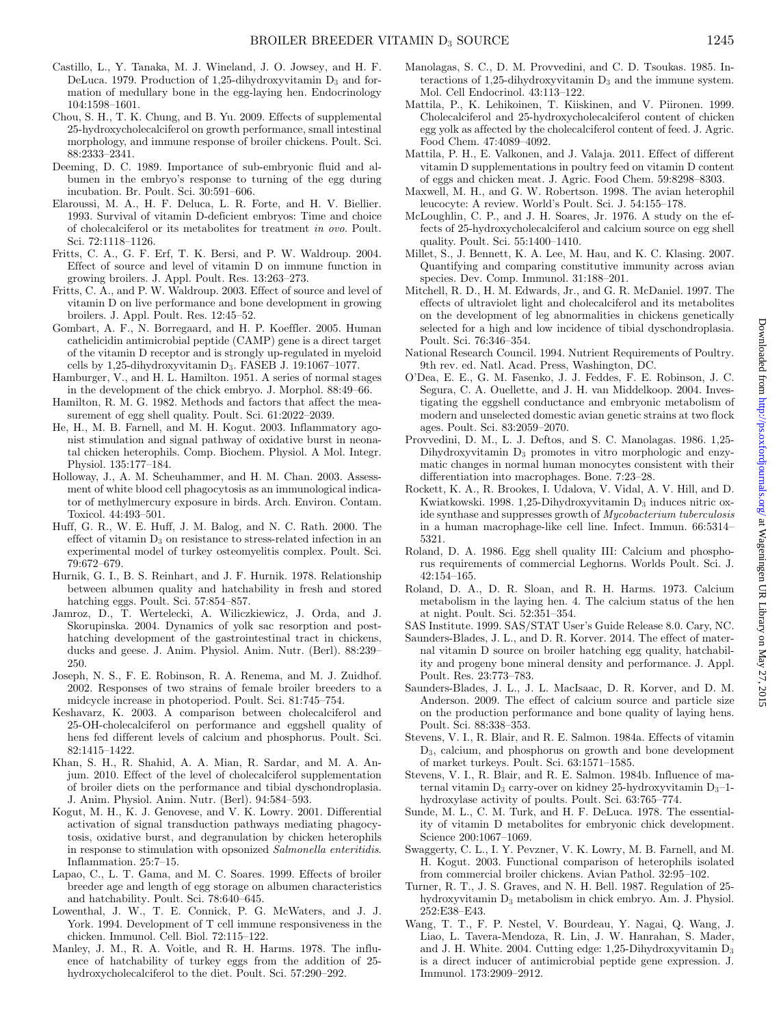- <span id="page-12-25"></span>Castillo, L., Y. Tanaka, M. J. Wineland, J. O. Jowsey, and H. F. DeLuca. 1979. Production of 1,25-dihydroxyvitamin  $D_3$  and formation of medullary bone in the egg-laying hen. Endocrinology 104:1598–1601.
- <span id="page-12-35"></span>Chou, S. H., T. K. Chung, and B. Yu. 2009. Effects of supplemental 25-hydroxycholecalciferol on growth performance, small intestinal morphology, and immune response of broiler chickens. Poult. Sci. 88:2333–2341.
- <span id="page-12-22"></span>Deeming, D. C. 1989. Importance of sub-embryonic fluid and albumen in the embryo's response to turning of the egg during incubation. Br. Poult. Sci. 30:591–606.
- <span id="page-12-30"></span>Elaroussi, M. A., H. F. Deluca, L. R. Forte, and H. V. Biellier. 1993. Survival of vitamin D-deficient embryos: Time and choice of cholecalciferol or its metabolites for treatment *in ovo*. Poult. Sci. 72:1118–1126.
- <span id="page-12-38"></span>Fritts, C. A., G. F. Erf, T. K. Bersi, and P. W. Waldroup. 2004. Effect of source and level of vitamin D on immune function in growing broilers. J. Appl. Poult. Res. 13:263–273.
- <span id="page-12-31"></span>Fritts, C. A., and P. W. Waldroup. 2003. Effect of source and level of vitamin D on live performance and bone development in growing broilers. J. Appl. Poult. Res. 12:45–52.
- <span id="page-12-42"></span>Gombart, A. F., N. Borregaard, and H. P. Koeffler. 2005. Human cathelicidin antimicrobial peptide (CAMP) gene is a direct target of the vitamin D receptor and is strongly up-regulated in myeloid cells by 1,25-dihydroxyvitamin  $D_3$ . FASEB J. 19:1067-1077.
- <span id="page-12-13"></span>Hamburger, V., and H. L. Hamilton. 1951. A series of normal stages in the development of the chick embryo. J. Morphol. 88:49–66.
- <span id="page-12-9"></span>Hamilton, R. M. G. 1982. Methods and factors that affect the measurement of egg shell quality. Poult. Sci. 61:2022–2039.
- <span id="page-12-16"></span>He, H., M. B. Farnell, and M. H. Kogut. 2003. Inflammatory agonist stimulation and signal pathway of oxidative burst in neonatal chicken heterophils. Comp. Biochem. Physiol. A Mol. Integr. Physiol. 135:177–184.
- <span id="page-12-15"></span>Holloway, J., A. M. Scheuhammer, and H. M. Chan. 2003. Assessment of white blood cell phagocytosis as an immunological indicator of methylmercury exposure in birds. Arch. Environ. Contam. Toxicol. 44:493–501.
- <span id="page-12-40"></span>Huff, G. R., W. E. Huff, J. M. Balog, and N. C. Rath. 2000. The effect of vitamin  $D_3$  on resistance to stress-related infection in an experimental model of turkey osteomyelitis complex. Poult. Sci. 79:672–679.
- <span id="page-12-21"></span>Hurnik, G. I., B. S. Reinhart, and J. F. Hurnik. 1978. Relationship between albumen quality and hatchability in fresh and stored hatching eggs. Poult. Sci. 57:854–857.
- <span id="page-12-33"></span>Jamroz, D., T. Wertelecki, A. Wiliczkiewicz, J. Orda, and J. Skorupinska. 2004. Dynamics of yolk sac resorption and posthatching development of the gastrointestinal tract in chickens, ducks and geese. J. Anim. Physiol. Anim. Nutr. (Berl). 88:239– 250.
- <span id="page-12-11"></span>Joseph, N. S., F. E. Robinson, R. A. Renema, and M. J. Zuidhof. 2002. Responses of two strains of female broiler breeders to a midcycle increase in photoperiod. Poult. Sci. 81:745–754.
- <span id="page-12-19"></span>Keshavarz, K. 2003. A comparison between cholecalciferol and 25-OH-cholecalciferol on performance and eggshell quality of hens fed different levels of calcium and phosphorus. Poult. Sci. 82:1415–1422.
- <span id="page-12-39"></span>Khan, S. H., R. Shahid, A. A. Mian, R. Sardar, and M. A. Anjum. 2010. Effect of the level of cholecalciferol supplementation of broiler diets on the performance and tibial dyschondroplasia. J. Anim. Physiol. Anim. Nutr. (Berl). 94:584–593.
- <span id="page-12-36"></span>Kogut, M. H., K. J. Genovese, and V. K. Lowry. 2001. Differential activation of signal transduction pathways mediating phagocytosis, oxidative burst, and degranulation by chicken heterophils in response to stimulation with opsonized *Salmonella enteritidis*. Inflammation. 25:7–15.
- <span id="page-12-23"></span>Lapao, C., L. T. Gama, and M. C. Soares. 1999. Effects of broiler breeder age and length of egg storage on albumen characteristics and hatchability. Poult. Sci. 78:640–645.
- <span id="page-12-3"></span>Lowenthal, J. W., T. E. Connick, P. G. McWaters, and J. J. York. 1994. Development of T cell immune responsiveness in the chicken. Immunol. Cell. Biol. 72:115–122.
- <span id="page-12-2"></span>Manley, J. M., R. A. Voitle, and R. H. Harms. 1978. The influence of hatchability of turkey eggs from the addition of 25 hydroxycholecalciferol to the diet. Poult. Sci. 57:290–292.
- <span id="page-12-4"></span>Manolagas, S. C., D. M. Provvedini, and C. D. Tsoukas. 1985. Interactions of 1,25-dihydroxyvitamin  $D_3$  and the immune system. Mol. Cell Endocrinol. 43:113–122.
- <span id="page-12-0"></span>Mattila, P., K. Lehikoinen, T. Kiiskinen, and V. Piironen. 1999. Cholecalciferol and 25-hydroxycholecalciferol content of chicken egg yolk as affected by the cholecalciferol content of feed. J. Agric. Food Chem. 47:4089–4092.
- <span id="page-12-7"></span>Mattila, P. H., E. Valkonen, and J. Valaja. 2011. Effect of different vitamin D supplementations in poultry feed on vitamin D content of eggs and chicken meat. J. Agric. Food Chem. 59:8298–8303.
- <span id="page-12-17"></span>Maxwell, M. H., and G. W. Robertson. 1998. The avian heterophil leucocyte: A review. World's Poult. Sci. J. 54:155–178.
- <span id="page-12-20"></span>McLoughlin, C. P., and J. H. Soares, Jr. 1976. A study on the effects of 25-hydroxycholecalciferol and calcium source on egg shell quality. Poult. Sci. 55:1400–1410.
- <span id="page-12-14"></span>Millet, S., J. Bennett, K. A. Lee, M. Hau, and K. C. Klasing. 2007. Quantifying and comparing constitutive immunity across avian species. Dev. Comp. Immunol. 31:188–201.
- <span id="page-12-32"></span>Mitchell, R. D., H. M. Edwards, Jr., and G. R. McDaniel. 1997. The effects of ultraviolet light and cholecalciferol and its metabolites on the development of leg abnormalities in chickens genetically selected for a high and low incidence of tibial dyschondroplasia. Poult. Sci. 76:346–354.
- <span id="page-12-8"></span>National Research Council. 1994. Nutrient Requirements of Poultry. 9th rev. ed. Natl. Acad. Press, Washington, DC.
- <span id="page-12-10"></span>O'Dea, E. E., G. M. Fasenko, J. J. Feddes, F. E. Robinson, J. C. Segura, C. A. Ouellette, and J. H. van Middelkoop. 2004. Investigating the eggshell conductance and embryonic metabolism of modern and unselected domestic avian genetic strains at two flock ages. Poult. Sci. 83:2059–2070.
- <span id="page-12-5"></span>Provvedini, D. M., L. J. Deftos, and S. C. Manolagas. 1986. 1,25- Dihydroxyvitamin D3 promotes in vitro morphologic and enzymatic changes in normal human monocytes consistent with their differentiation into macrophages. Bone. 7:23–28.
- <span id="page-12-6"></span>Rockett, K. A., R. Brookes, I. Udalova, V. Vidal, A. V. Hill, and D. Kwiatkowski. 1998. 1,25-Dihydroxyvitamin  $D_3$  induces nitric oxide synthase and suppresses growth of *Mycobacterium tuberculosis* in a human macrophage-like cell line. Infect. Immun. 66:5314– 5321.
- <span id="page-12-27"></span>Roland, D. A. 1986. Egg shell quality III: Calcium and phosphorus requirements of commercial Leghorns. Worlds Poult. Sci. J. 42:154–165.
- <span id="page-12-26"></span>Roland, D. A., D. R. Sloan, and R. H. Harms. 1973. Calcium metabolism in the laying hen. 4. The calcium status of the hen at night. Poult. Sci. 52:351–354.
- <span id="page-12-18"></span>SAS Institute. 1999. SAS/STAT User's Guide Release 8.0. Cary, NC.
- <span id="page-12-24"></span>Saunders-Blades, J. L., and D. R. Korver. 2014. The effect of maternal vitamin D source on broiler hatching egg quality, hatchability and progeny bone mineral density and performance. J. Appl. Poult. Res. 23:773–783.
- <span id="page-12-12"></span>Saunders-Blades, J. L., J. L. MacIsaac, D. R. Korver, and D. M. Anderson. 2009. The effect of calcium source and particle size on the production performance and bone quality of laying hens. Poult. Sci. 88:338–353.
- <span id="page-12-29"></span>Stevens, V. I., R. Blair, and R. E. Salmon. 1984a. Effects of vitamin D3, calcium, and phosphorus on growth and bone development of market turkeys. Poult. Sci. 63:1571–1585.
- <span id="page-12-34"></span>Stevens, V. I., R. Blair, and R. E. Salmon. 1984b. Influence of maternal vitamin  $D_3$  carry-over on kidney 25-hydroxyvitamin  $D_3$ -1hydroxylase activity of poults. Poult. Sci. 63:765–774.
- <span id="page-12-28"></span>Sunde, M. L., C. M. Turk, and H. F. DeLuca. 1978. The essentiality of vitamin D metabolites for embryonic chick development. Science 200:1067–1069.
- <span id="page-12-37"></span>Swaggerty, C. L., I. Y. Pevzner, V. K. Lowry, M. B. Farnell, and M. H. Kogut. 2003. Functional comparison of heterophils isolated from commercial broiler chickens. Avian Pathol. 32:95–102.
- <span id="page-12-1"></span>Turner, R. T., J. S. Graves, and N. H. Bell. 1987. Regulation of 25 hydroxyvitamin D<sub>3</sub> metabolism in chick embryo. Am. J. Physiol. 252:E38–E43.
- <span id="page-12-41"></span>Wang, T. T., F. P. Nestel, V. Bourdeau, Y. Nagai, Q. Wang, J. Liao, L. Tavera-Mendoza, R. Lin, J. W. Hanrahan, S. Mader, and J. H. White. 2004. Cutting edge: 1,25-Dihydroxyvitamin  $D_3$ is a direct inducer of antimicrobial peptide gene expression. J. Immunol. 173:2909–2912.

 $.2015$